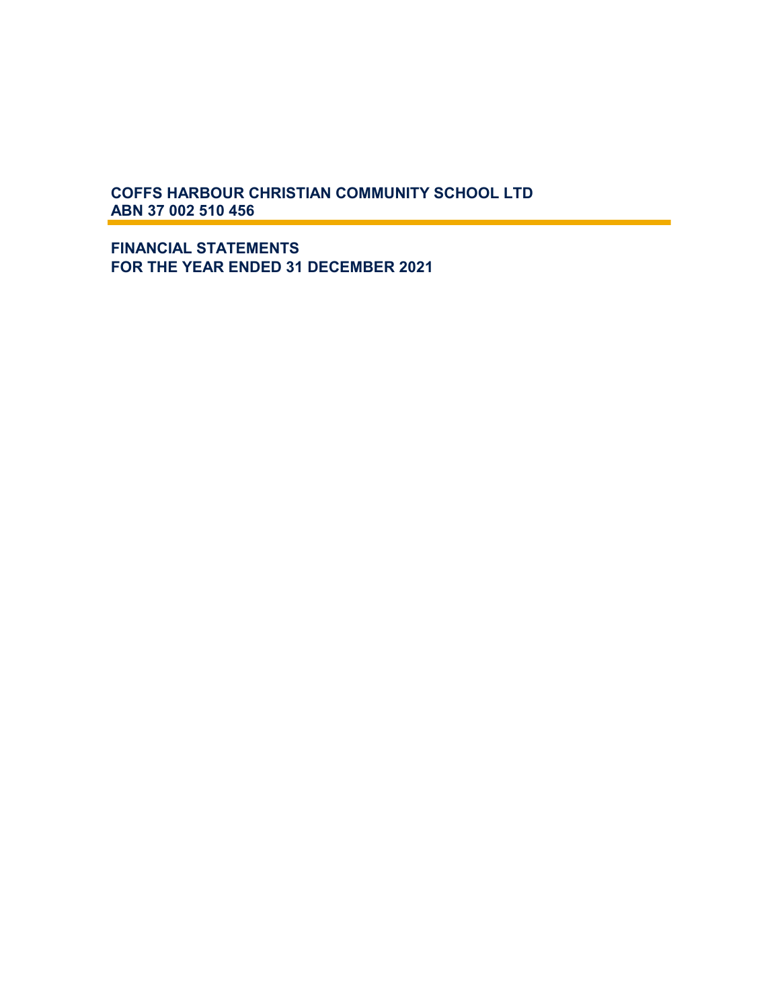**FINANCIAL STATEMENTS FOR THE YEAR ENDED 31 DECEMBER 2021**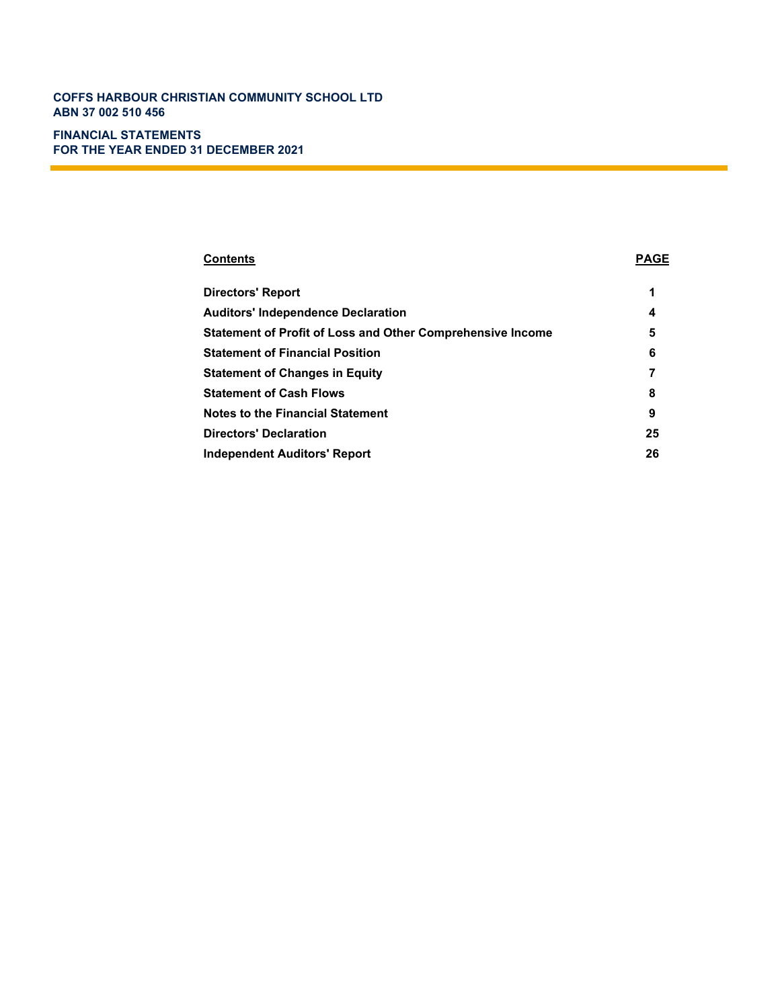# **FINANCIAL STATEMENTS FOR THE YEAR ENDED 31 DECEMBER 2021**

# **Contents PAGE**

| <b>Directors' Report</b>                                          | 1  |
|-------------------------------------------------------------------|----|
| <b>Auditors' Independence Declaration</b>                         | 4  |
| <b>Statement of Profit of Loss and Other Comprehensive Income</b> | 5  |
| <b>Statement of Financial Position</b>                            | 6  |
| <b>Statement of Changes in Equity</b>                             |    |
| <b>Statement of Cash Flows</b>                                    | 8  |
| <b>Notes to the Financial Statement</b>                           | 9  |
| <b>Directors' Declaration</b>                                     | 25 |
| Independent Auditors' Report                                      | 26 |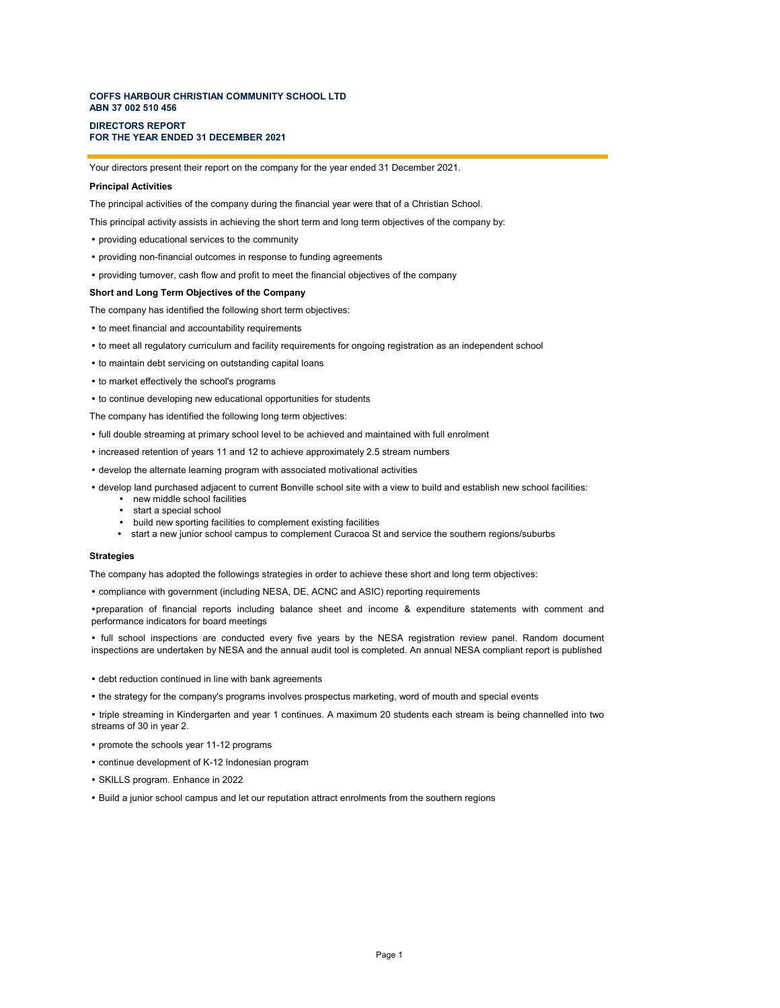#### **DIRECTORS REPORT FOR THE YEAR ENDED 31 DECEMBER 2021**

Your directors present their report on the company for the year ended 31 December 2021.

#### **Principal Activities**

The principal activities of the company during the financial year were that of a Christian School.

This principal activity assists in achieving the short term and long term objectives of the company by:

- providing educational services to the community
- providing non-financial outcomes in response to funding agreements
- providing turnover, cash flow and profit to meet the financial objectives of the company

#### **Short and Long Term Objectives of the Company**

The company has identified the following short term objectives:

- to meet financial and accountability requirements
- to meet all regulatory curriculum and facility requirements for ongoing registration as an independent school
- to maintain debt servicing on outstanding capital loans
- to market effectively the school's programs
- to continue developing new educational opportunities for students

The company has identified the following long term objectives:

- full double streaming at primary school level to be achieved and maintained with full enrolment
- increased retention of years 11 and 12 to achieve approximately 2.5 stream numbers
- develop the alternate learning program with associated motivational activities

develop land purchased adjacent to current Bonville school site with a view to build and establish new school facilities:

- new middle school facilities
- start a special school
- build new sporting facilities to complement existing facilities
- start a new junior school campus to complement Curacoa St and service the southern regions/suburbs

#### **Strategies**

The company has adopted the followings strategies in order to achieve these short and long term objectives:

compliance with government (including NESA, DE, ACNC and ASIC) reporting requirements

preparation of financial reports including balance sheet and income & expenditure statements with comment and performance indicators for board meetings

 full school inspections are conducted every five years by the NESA registration review panel. Random document inspections are undertaken by NESA and the annual audit tool is completed. An annual NESA compliant report is published

- debt reduction continued in line with bank agreements
- the strategy for the company's programs involves prospectus marketing, word of mouth and special events

• triple streaming in Kindergarten and year 1 continues. A maximum 20 students each stream is being channelled into two streams of 30 in year 2.

- promote the schools year 11-12 programs
- continue development of K-12 Indonesian program
- SKILLS program. Enhance in 2022
- Build a junior school campus and let our reputation attract enrolments from the southern regions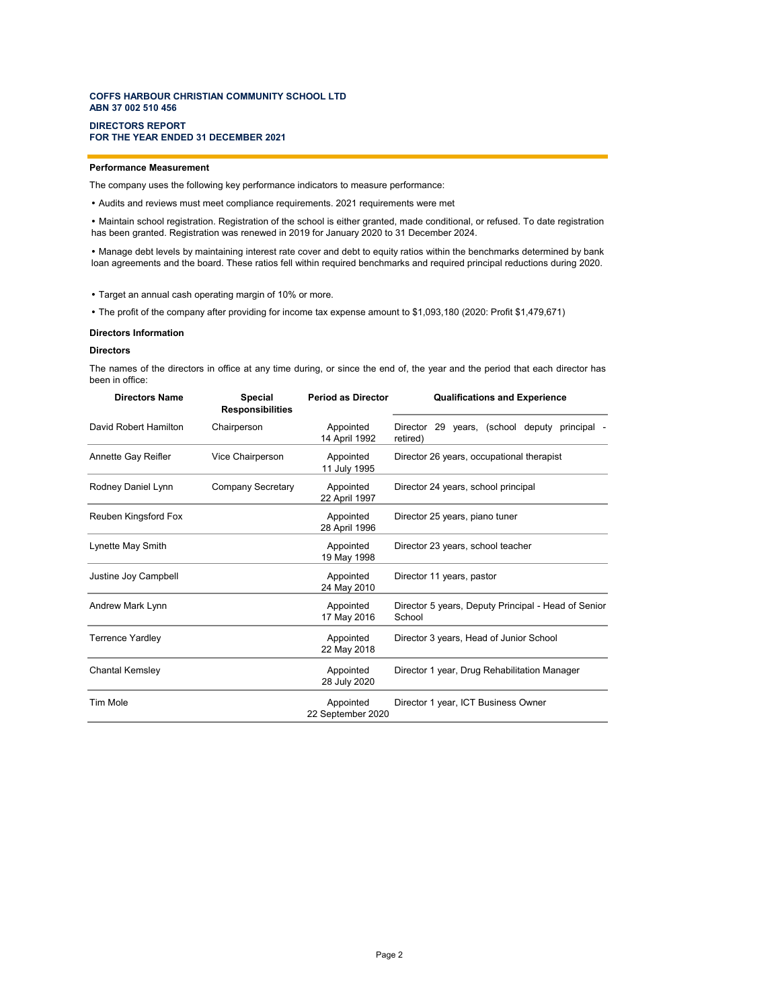#### **DIRECTORS REPORT FOR THE YEAR ENDED 31 DECEMBER 2021**

### **Performance Measurement**

The company uses the following key performance indicators to measure performance:

Audits and reviews must meet compliance requirements. 2021 requirements were met

 Maintain school registration. Registration of the school is either granted, made conditional, or refused. To date registration has been granted. Registration was renewed in 2019 for January 2020 to 31 December 2024.

 Manage debt levels by maintaining interest rate cover and debt to equity ratios within the benchmarks determined by bank loan agreements and the board. These ratios fell within required benchmarks and required principal reductions during 2020.

Target an annual cash operating margin of 10% or more.

The profit of the company after providing for income tax expense amount to \$1,093,180 (2020: Profit \$1,479,671)

#### **Directors Information**

#### **Directors**

The names of the directors in office at any time during, or since the end of, the year and the period that each director has been in office:

| <b>Directors Name</b>  | <b>Special</b><br><b>Responsibilities</b> | <b>Period as Director</b>      | <b>Qualifications and Experience</b>                          |
|------------------------|-------------------------------------------|--------------------------------|---------------------------------------------------------------|
| David Robert Hamilton  | Chairperson                               | Appointed<br>14 April 1992     | Director 29 years, (school deputy principal -<br>retired)     |
| Annette Gay Reifler    | Vice Chairperson                          | Appointed<br>11 July 1995      | Director 26 years, occupational therapist                     |
| Rodney Daniel Lynn     | <b>Company Secretary</b>                  | Appointed<br>22 April 1997     | Director 24 years, school principal                           |
| Reuben Kingsford Fox   |                                           | Appointed<br>28 April 1996     | Director 25 years, piano tuner                                |
| Lynette May Smith      |                                           | Appointed<br>19 May 1998       | Director 23 years, school teacher                             |
| Justine Joy Campbell   |                                           | Appointed<br>24 May 2010       | Director 11 years, pastor                                     |
| Andrew Mark Lynn       |                                           | Appointed<br>17 May 2016       | Director 5 years, Deputy Principal - Head of Senior<br>School |
| Terrence Yardley       |                                           | Appointed<br>22 May 2018       | Director 3 years, Head of Junior School                       |
| <b>Chantal Kemsley</b> |                                           | Appointed<br>28 July 2020      | Director 1 year, Drug Rehabilitation Manager                  |
| Tim Mole               |                                           | Appointed<br>22 September 2020 | Director 1 year, ICT Business Owner                           |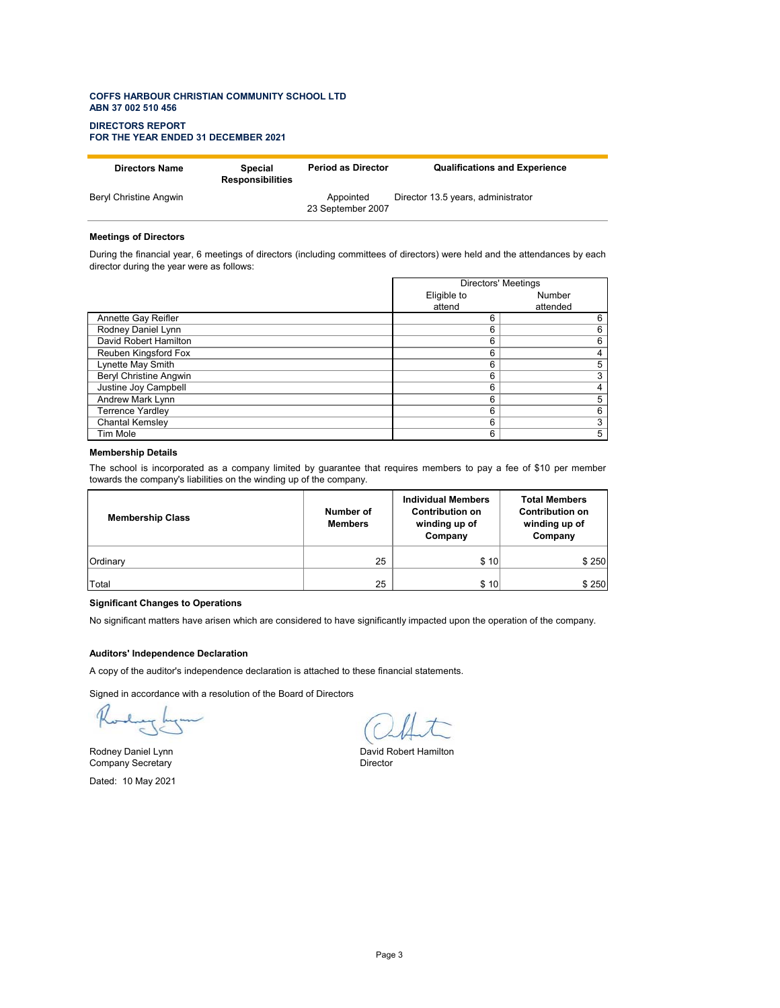#### **DIRECTORS REPORT FOR THE YEAR ENDED 31 DECEMBER 2021**

| <b>Directors Name</b>  | Special<br><b>Responsibilities</b> | <b>Period as Director</b>      | <b>Qualifications and Experience</b> |
|------------------------|------------------------------------|--------------------------------|--------------------------------------|
| Beryl Christine Angwin |                                    | Appointed<br>23 September 2007 | Director 13.5 years, administrator   |

#### **Meetings of Directors**

During the financial year, 6 meetings of directors (including committees of directors) were held and the attendances by each director during the year were as follows:

|                               | <b>Directors' Meetings</b> |          |  |
|-------------------------------|----------------------------|----------|--|
|                               | Eligible to                | Number   |  |
|                               | attend                     | attended |  |
| Annette Gay Reifler           | 6                          | 6        |  |
| Rodney Daniel Lynn            | 6                          | 6        |  |
| David Robert Hamilton         | 6                          | 6        |  |
| Reuben Kingsford Fox          | 6                          | 4        |  |
| Lynette May Smith             | 6                          | 5        |  |
| <b>Beryl Christine Angwin</b> | 6                          | 3        |  |
| Justine Joy Campbell          | 6                          | 4        |  |
| Andrew Mark Lynn              | 6                          | 5        |  |
| <b>Terrence Yardley</b>       | 6                          | 6        |  |
| <b>Chantal Kemsley</b>        | 6                          | 3        |  |
| Tim Mole                      | 6                          | 5        |  |

#### **Membership Details**

The school is incorporated as a company limited by guarantee that requires members to pay a fee of \$10 per member towards the company's liabilities on the winding up of the company.

| <b>Membership Class</b> | Number of<br><b>Members</b> | <b>Individual Members</b><br><b>Contribution on</b><br>winding up of<br>Company | <b>Total Members</b><br><b>Contribution on</b><br>winding up of<br>Company |
|-------------------------|-----------------------------|---------------------------------------------------------------------------------|----------------------------------------------------------------------------|
| Ordinary                | 25                          | \$10                                                                            | \$250                                                                      |
| Total                   | 25                          | \$10                                                                            | \$250                                                                      |

### **Significant Changes to Operations**

No significant matters have arisen which are considered to have significantly impacted upon the operation of the company.

### **Auditors' Independence Declaration**

A copy of the auditor's independence declaration is attached to these financial statements.

Signed in accordance with a resolution of the Board of Directors

Company Secretary Dated: 10 May 2021

Rodney Daniel Lynn<br>
Company Secretary<br>
Director<br>
Director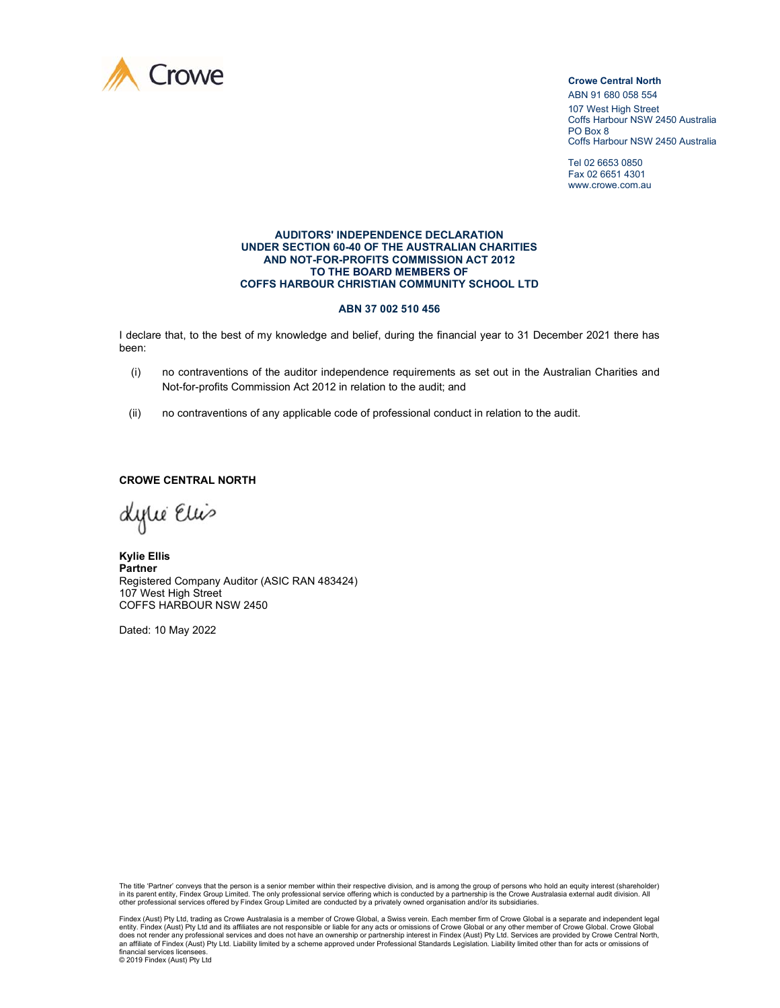

ABN 91 680 058 554 107 West High Street Coffs Harbour NSW 2450 Australia PO Box 8 Coffs Harbour NSW 2450 Australia

Tel 02 6653 0850 Fax 02 6651 4301 www.crowe.com.au

#### **AUDITORS' INDEPENDENCE DECLARATION UNDER SECTION 60-40 OF THE AUSTRALIAN CHARITIES AND NOT-FOR-PROFITS COMMISSION ACT 2012 TO THE BOARD MEMBERS OF COFFS HARBOUR CHRISTIAN COMMUNITY SCHOOL LTD**

### **ABN 37 002 510 456**

I declare that, to the best of my knowledge and belief, during the financial year to 31 December 2021 there has been:

- (i) no contraventions of the auditor independence requirements as set out in the Australian Charities and Not-for-profits Commission Act 2012 in relation to the audit; and
- (ii) no contraventions of any applicable code of professional conduct in relation to the audit.

### **CROWE CENTRAL NORTH**

dytie Eliis

**Kylie Ellis Partner**  Registered Company Auditor (ASIC RAN 483424) 107 West High Street COFFS HARBOUR NSW 2450

Dated: 10 May 2022

The title 'Partner' conveys that the person is a senior member within their respective division, and is among the group of persons who hold an equity interest (shareholder) in its parent entity, Findex Group Limited. The only professional service offering which is conducted by a partnership is the Crowe Australasia external audit division. All<br>other professional services offered by Findex Gro

Findex (Aust) Pty Ltd, trading as Crowe Australasia is a member of Crowe Global, a Swiss verein. Each member firm of Crowe Global is a separate and independent legal entity. Findex (Aust) Pty Ltd and its affiliates are not responsible or liable for any acts or omissions of Crowe Global or any other member of Crowe Global. Crowe Global or any other member of Crowe Global. Crowe Global does not render any professional services and does not have an ownership or partnership interest in Findex (Aust) Pty Ltd. Services are provided by Crowe Central North,<br>an affiliate of Findex (Aust) Pty Ltd. Liability limi financial services licensee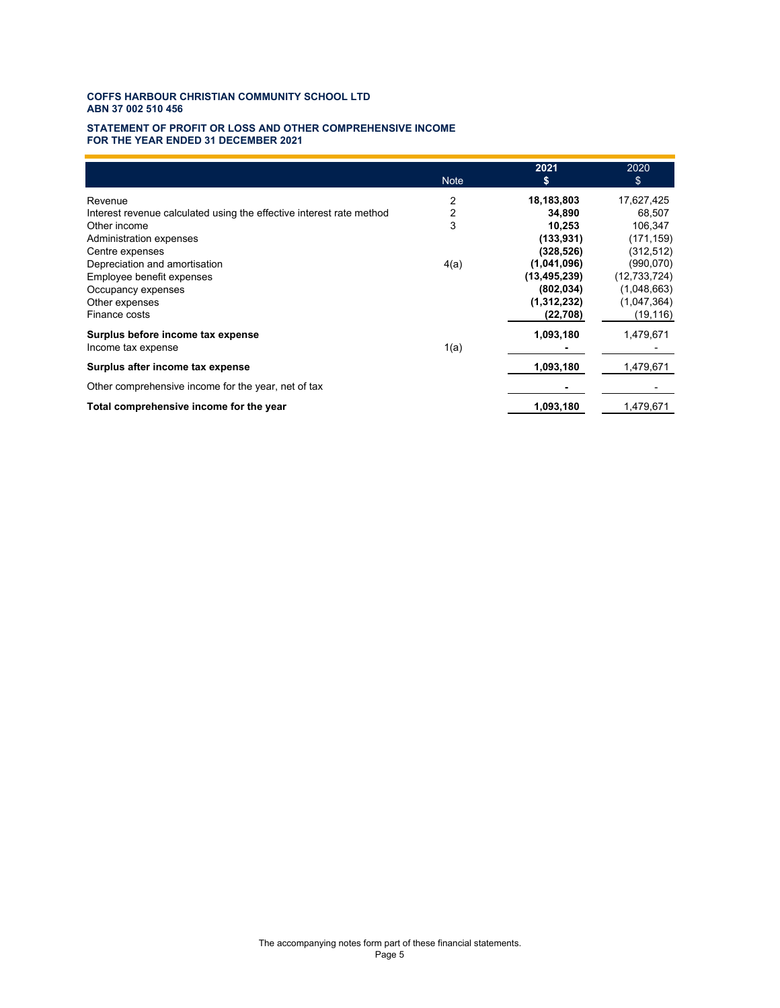#### **STATEMENT OF PROFIT OR LOSS AND OTHER COMPREHENSIVE INCOME FOR THE YEAR ENDED 31 DECEMBER 2021**

|                                                                      |             | 2021           | 2020           |
|----------------------------------------------------------------------|-------------|----------------|----------------|
|                                                                      | <b>Note</b> | \$             | \$             |
| Revenue                                                              | 2           | 18,183,803     | 17,627,425     |
| Interest revenue calculated using the effective interest rate method | 2           | 34,890         | 68,507         |
| Other income                                                         | 3           | 10,253         | 106,347        |
| Administration expenses                                              |             | (133, 931)     | (171, 159)     |
| Centre expenses                                                      |             | (328,526)      | (312, 512)     |
| Depreciation and amortisation                                        | 4(a)        | (1,041,096)    | (990,070)      |
| Employee benefit expenses                                            |             | (13, 495, 239) | (12, 733, 724) |
| Occupancy expenses                                                   |             | (802, 034)     | (1,048,663)    |
| Other expenses                                                       |             | (1,312,232)    | (1,047,364)    |
| Finance costs                                                        |             | (22, 708)      | (19, 116)      |
| Surplus before income tax expense                                    |             | 1,093,180      | 1,479,671      |
| Income tax expense                                                   | 1(a)        |                |                |
| Surplus after income tax expense                                     |             | 1,093,180      | 1,479,671      |
| Other comprehensive income for the year, net of tax                  |             |                |                |
| Total comprehensive income for the year                              |             | 1,093,180      | 1,479,671      |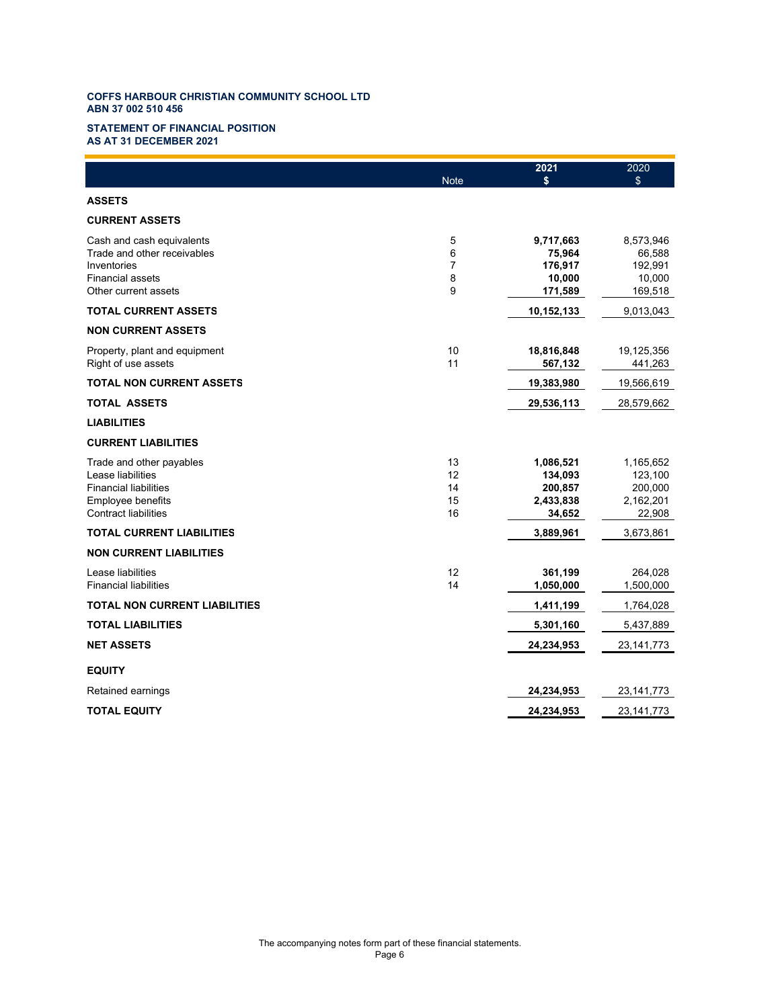#### **STATEMENT OF FINANCIAL POSITION AS AT 31 DECEMBER 2021**

|                                                          | <b>Note</b>    | 2021<br>\$           | 2020<br>\$           |
|----------------------------------------------------------|----------------|----------------------|----------------------|
| <b>ASSETS</b>                                            |                |                      |                      |
|                                                          |                |                      |                      |
| <b>CURRENT ASSETS</b>                                    |                |                      |                      |
| Cash and cash equivalents<br>Trade and other receivables | 5<br>6         | 9,717,663<br>75,964  | 8,573,946<br>66,588  |
| Inventories                                              | $\overline{7}$ | 176,917              | 192,991              |
| <b>Financial assets</b>                                  | 8              | 10,000               | 10,000               |
| Other current assets                                     | 9              | 171,589              | 169,518              |
| <b>TOTAL CURRENT ASSETS</b>                              |                | 10,152,133           | 9,013,043            |
| <b>NON CURRENT ASSETS</b>                                |                |                      |                      |
| Property, plant and equipment                            | 10             | 18,816,848           | 19,125,356           |
| Right of use assets                                      | 11             | 567,132              | 441,263              |
| <b>TOTAL NON CURRENT ASSETS</b>                          |                | 19,383,980           | 19,566,619           |
| TOTAL ASSETS                                             |                | 29,536,113           | 28,579,662           |
| <b>LIABILITIES</b>                                       |                |                      |                      |
| <b>CURRENT LIABILITIES</b>                               |                |                      |                      |
| Trade and other payables                                 | 13             | 1,086,521            | 1,165,652            |
| Lease liabilities                                        | 12             | 134,093              | 123,100              |
| <b>Financial liabilities</b><br>Employee benefits        | 14<br>15       | 200,857<br>2,433,838 | 200,000<br>2,162,201 |
| <b>Contract liabilities</b>                              | 16             | 34,652               | 22,908               |
| TOTAL CURRENT LIABILITIES                                |                | 3,889,961            | 3,673,861            |
| <b>NON CURRENT LIABILITIES</b>                           |                |                      |                      |
| Lease liabilities                                        | 12             | 361,199              | 264,028              |
| <b>Financial liabilities</b>                             | 14             | 1,050,000            | 1,500,000            |
| TOTAL NON CURRENT LIABILITIES                            |                | 1,411,199            | 1,764,028            |
| <b>TOTAL LIABILITIES</b>                                 |                | 5,301,160            | 5,437,889            |
| <b>NET ASSETS</b>                                        |                | 24,234,953           | 23, 141, 773         |
| <b>EQUITY</b>                                            |                |                      |                      |
| Retained earnings                                        |                | 24,234,953           | 23, 141, 773         |
| <b>TOTAL EQUITY</b>                                      |                | 24,234,953           | 23, 141, 773         |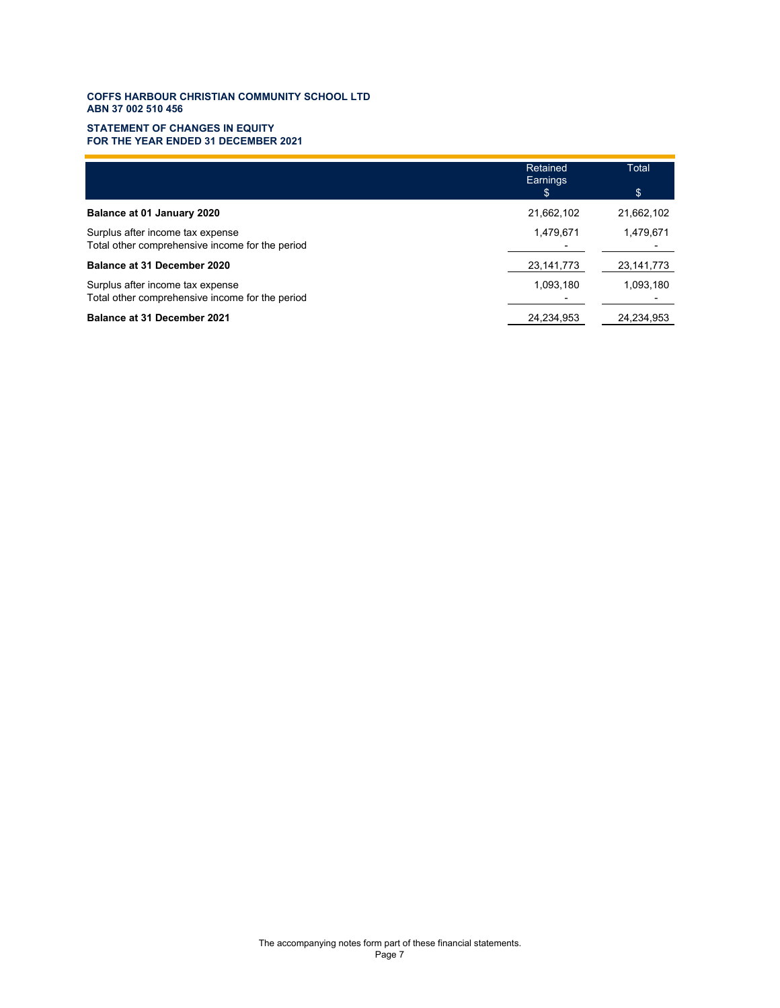### **ABN 37 002 510 456 COFFS HARBOUR CHRISTIAN COMMUNITY SCHOOL LTD**

#### **STATEMENT OF CHANGES IN EQUITY FOR THE YEAR ENDED 31 DECEMBER 2021**

|                                                                                     | Retained<br>Earnings<br>\$ | Total<br>\$  |
|-------------------------------------------------------------------------------------|----------------------------|--------------|
| Balance at 01 January 2020                                                          | 21,662,102                 | 21,662,102   |
| Surplus after income tax expense<br>Total other comprehensive income for the period | 1,479,671                  | 1,479,671    |
| Balance at 31 December 2020                                                         | 23, 141, 773               | 23, 141, 773 |
| Surplus after income tax expense<br>Total other comprehensive income for the period | 1,093,180                  | 1,093,180    |
| <b>Balance at 31 December 2021</b>                                                  | 24,234,953                 | 24,234,953   |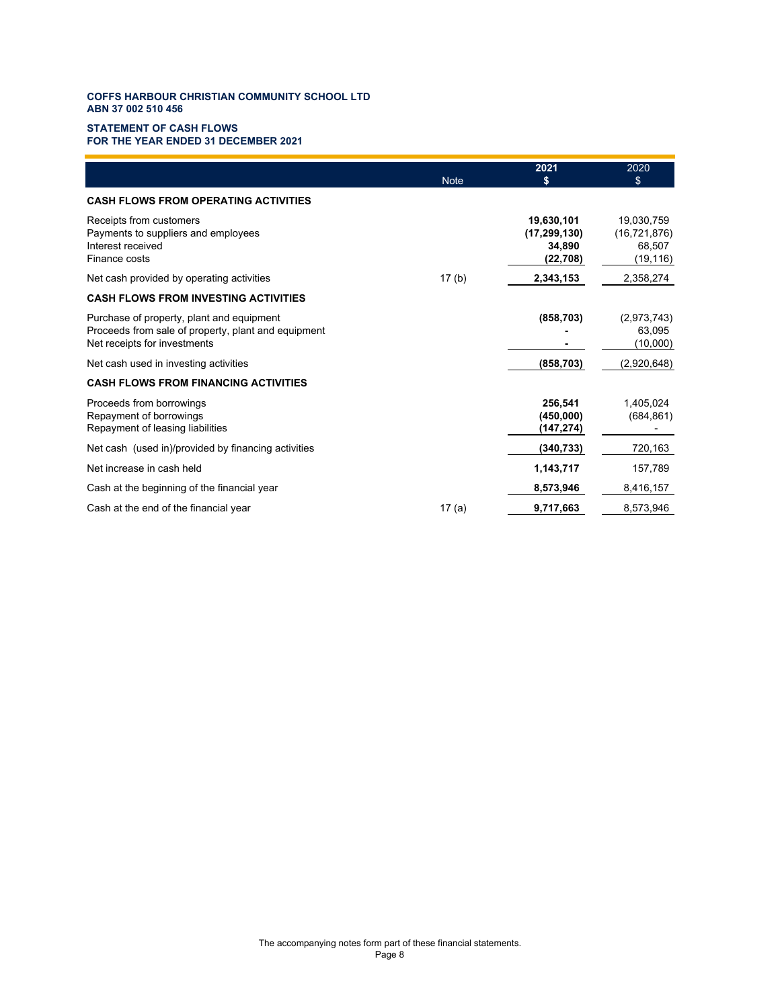#### **STATEMENT OF CASH FLOWS FOR THE YEAR ENDED 31 DECEMBER 2021**

|                                                                                                                                  | <b>Note</b> | 2021<br>\$                                         | 2020<br>\$                                          |
|----------------------------------------------------------------------------------------------------------------------------------|-------------|----------------------------------------------------|-----------------------------------------------------|
| <b>CASH FLOWS FROM OPERATING ACTIVITIES</b>                                                                                      |             |                                                    |                                                     |
| Receipts from customers<br>Payments to suppliers and employees<br>Interest received<br>Finance costs                             |             | 19,630,101<br>(17, 299, 130)<br>34,890<br>(22,708) | 19,030,759<br>(16, 721, 876)<br>68,507<br>(19, 116) |
| Net cash provided by operating activities                                                                                        | 17(b)       | 2,343,153                                          | 2,358,274                                           |
| <b>CASH FLOWS FROM INVESTING ACTIVITIES</b>                                                                                      |             |                                                    |                                                     |
| Purchase of property, plant and equipment<br>Proceeds from sale of property, plant and equipment<br>Net receipts for investments |             | (858, 703)                                         | (2,973,743)<br>63.095<br>(10,000)                   |
| Net cash used in investing activities                                                                                            |             | (858, 703)                                         | (2,920,648)                                         |
| <b>CASH FLOWS FROM FINANCING ACTIVITIES</b>                                                                                      |             |                                                    |                                                     |
| Proceeds from borrowings<br>Repayment of borrowings<br>Repayment of leasing liabilities                                          |             | 256,541<br>(450,000)<br>(147,274)                  | 1,405,024<br>(684, 861)                             |
| Net cash (used in)/provided by financing activities                                                                              |             | (340, 733)                                         | 720,163                                             |
| Net increase in cash held                                                                                                        |             | 1,143,717                                          | 157,789                                             |
| Cash at the beginning of the financial year                                                                                      |             | 8,573,946                                          | 8,416,157                                           |
| Cash at the end of the financial year                                                                                            | 17(a)       | 9,717,663                                          | 8,573,946                                           |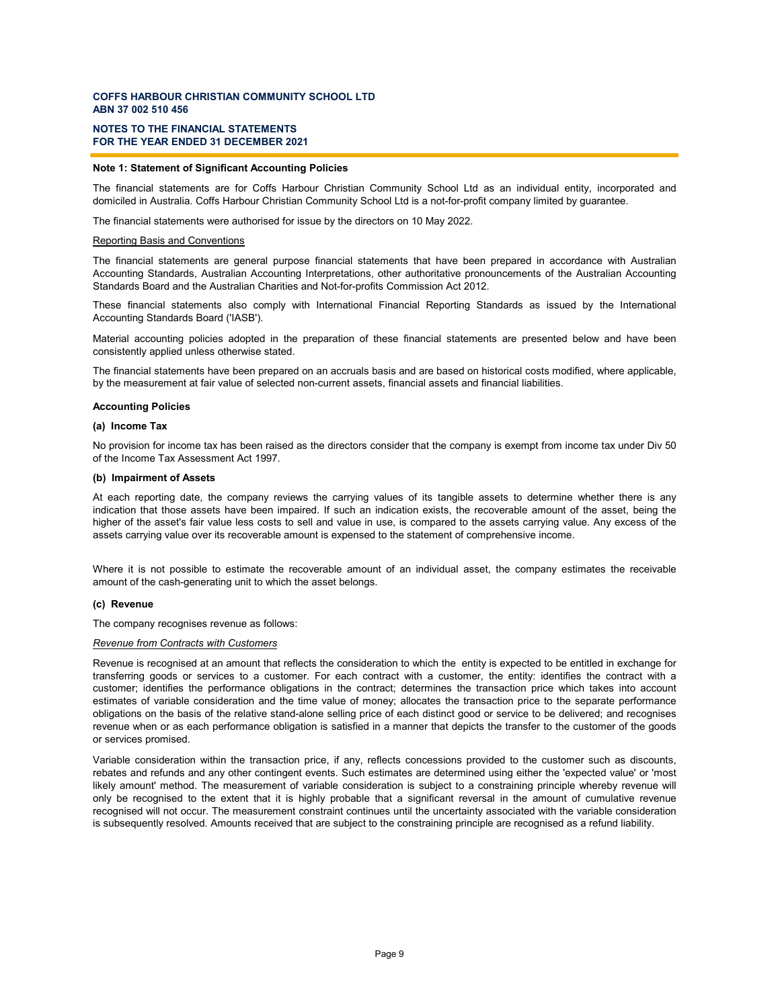### **NOTES TO THE FINANCIAL STATEMENTS FOR THE YEAR ENDED 31 DECEMBER 2021**

### **Note 1: Statement of Significant Accounting Policies**

The financial statements are for Coffs Harbour Christian Community School Ltd as an individual entity, incorporated and domiciled in Australia. Coffs Harbour Christian Community School Ltd is a not-for-profit company limited by guarantee.

The financial statements were authorised for issue by the directors on 10 May 2022.

#### Reporting Basis and Conventions

The financial statements are general purpose financial statements that have been prepared in accordance with Australian Accounting Standards, Australian Accounting Interpretations, other authoritative pronouncements of the Australian Accounting Standards Board and the Australian Charities and Not-for-profits Commission Act 2012.

These financial statements also comply with International Financial Reporting Standards as issued by the International Accounting Standards Board ('IASB').

Material accounting policies adopted in the preparation of these financial statements are presented below and have been consistently applied unless otherwise stated.

The financial statements have been prepared on an accruals basis and are based on historical costs modified, where applicable, by the measurement at fair value of selected non-current assets, financial assets and financial liabilities.

#### **Accounting Policies**

#### **(a) Income Tax**

No provision for income tax has been raised as the directors consider that the company is exempt from income tax under Div 50 of the Income Tax Assessment Act 1997.

#### **(b) Impairment of Assets**

At each reporting date, the company reviews the carrying values of its tangible assets to determine whether there is any indication that those assets have been impaired. If such an indication exists, the recoverable amount of the asset, being the higher of the asset's fair value less costs to sell and value in use, is compared to the assets carrying value. Any excess of the assets carrying value over its recoverable amount is expensed to the statement of comprehensive income.

Where it is not possible to estimate the recoverable amount of an individual asset, the company estimates the receivable amount of the cash-generating unit to which the asset belongs.

#### **(c) Revenue**

The company recognises revenue as follows:

#### *Revenue from Contracts with Customers*

Revenue is recognised at an amount that reflects the consideration to which the entity is expected to be entitled in exchange for transferring goods or services to a customer. For each contract with a customer, the entity: identifies the contract with a customer; identifies the performance obligations in the contract; determines the transaction price which takes into account estimates of variable consideration and the time value of money; allocates the transaction price to the separate performance obligations on the basis of the relative stand-alone selling price of each distinct good or service to be delivered; and recognises revenue when or as each performance obligation is satisfied in a manner that depicts the transfer to the customer of the goods or services promised.

Variable consideration within the transaction price, if any, reflects concessions provided to the customer such as discounts, rebates and refunds and any other contingent events. Such estimates are determined using either the 'expected value' or 'most likely amount' method. The measurement of variable consideration is subject to a constraining principle whereby revenue will only be recognised to the extent that it is highly probable that a significant reversal in the amount of cumulative revenue recognised will not occur. The measurement constraint continues until the uncertainty associated with the variable consideration is subsequently resolved. Amounts received that are subject to the constraining principle are recognised as a refund liability.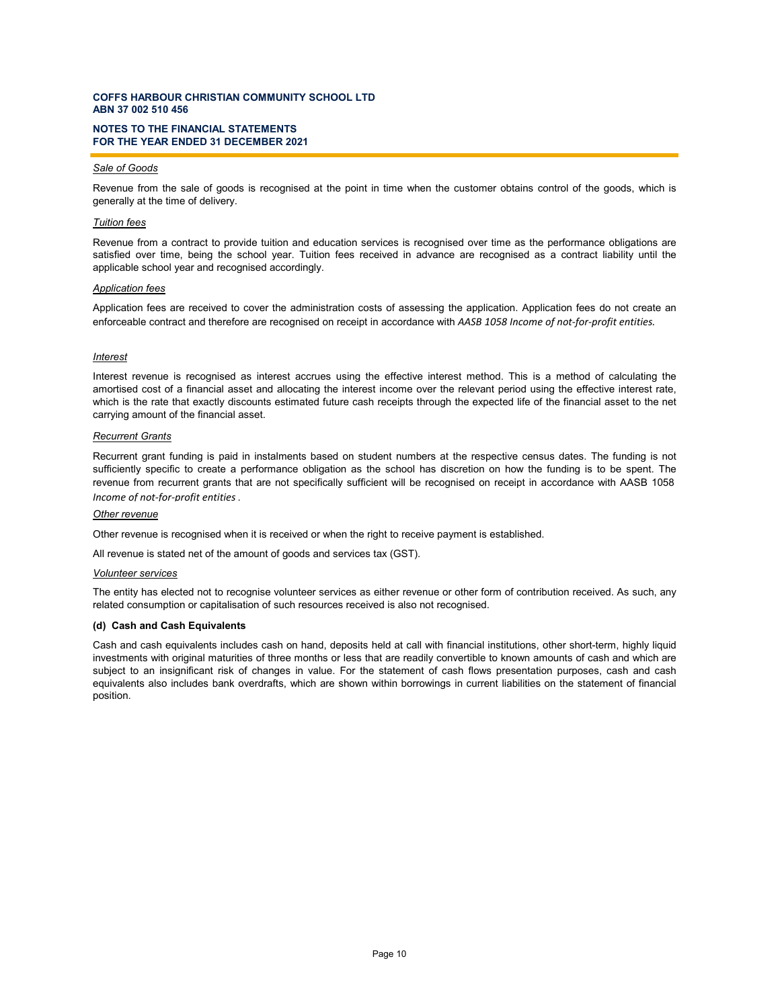### **NOTES TO THE FINANCIAL STATEMENTS FOR THE YEAR ENDED 31 DECEMBER 2021**

### *Sale of Goods*

Revenue from the sale of goods is recognised at the point in time when the customer obtains control of the goods, which is generally at the time of delivery.

### *Tuition fees*

Revenue from a contract to provide tuition and education services is recognised over time as the performance obligations are satisfied over time, being the school year. Tuition fees received in advance are recognised as a contract liability until the applicable school year and recognised accordingly.

#### *Application fees*

Application fees are received to cover the administration costs of assessing the application. Application fees do not create an enforceable contract and therefore are recognised on receipt in accordance with *AASB 1058 Income of not-for-profit entities.*

#### *Interest*

Interest revenue is recognised as interest accrues using the effective interest method. This is a method of calculating the amortised cost of a financial asset and allocating the interest income over the relevant period using the effective interest rate, which is the rate that exactly discounts estimated future cash receipts through the expected life of the financial asset to the net carrying amount of the financial asset.

#### *Recurrent Grants*

Recurrent grant funding is paid in instalments based on student numbers at the respective census dates. The funding is not sufficiently specific to create a performance obligation as the school has discretion on how the funding is to be spent. The revenue from recurrent grants that are not specifically sufficient will be recognised on receipt in accordance with AASB 1058 *Income of not-for-profit entities*.

### *Other revenue*

Other revenue is recognised when it is received or when the right to receive payment is established.

All revenue is stated net of the amount of goods and services tax (GST).

#### *Volunteer services*

The entity has elected not to recognise volunteer services as either revenue or other form of contribution received. As such, any related consumption or capitalisation of such resources received is also not recognised.

#### **(d) Cash and Cash Equivalents**

Cash and cash equivalents includes cash on hand, deposits held at call with financial institutions, other short-term, highly liquid investments with original maturities of three months or less that are readily convertible to known amounts of cash and which are subject to an insignificant risk of changes in value. For the statement of cash flows presentation purposes, cash and cash equivalents also includes bank overdrafts, which are shown within borrowings in current liabilities on the statement of financial position.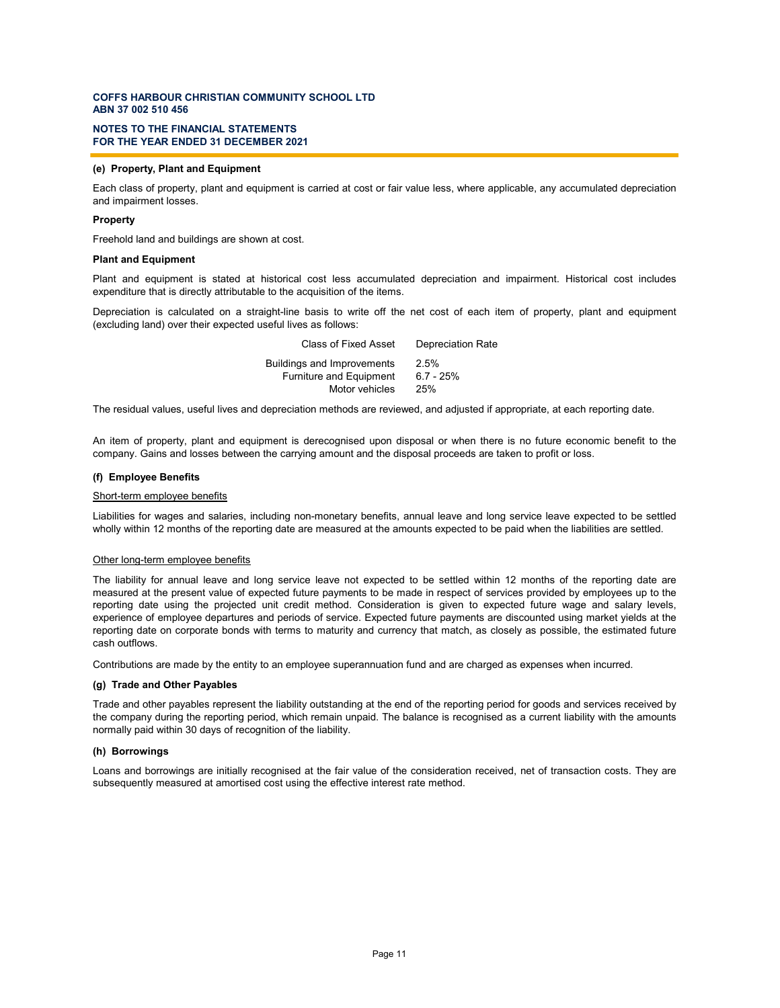### **NOTES TO THE FINANCIAL STATEMENTS FOR THE YEAR ENDED 31 DECEMBER 2021**

### **(e) Property, Plant and Equipment**

Each class of property, plant and equipment is carried at cost or fair value less, where applicable, any accumulated depreciation and impairment losses.

#### **Property**

Freehold land and buildings are shown at cost.

### **Plant and Equipment**

Plant and equipment is stated at historical cost less accumulated depreciation and impairment. Historical cost includes expenditure that is directly attributable to the acquisition of the items.

Depreciation is calculated on a straight-line basis to write off the net cost of each item of property, plant and equipment (excluding land) over their expected useful lives as follows:

| <b>Buildings and Improvements</b><br>2.5%<br><b>Furniture and Equipment</b><br>$6.7 - 25%$<br>Motor vehicles<br>25% | Class of Fixed Asset | <b>Depreciation Rate</b> |
|---------------------------------------------------------------------------------------------------------------------|----------------------|--------------------------|
|                                                                                                                     |                      |                          |

The residual values, useful lives and depreciation methods are reviewed, and adjusted if appropriate, at each reporting date.

An item of property, plant and equipment is derecognised upon disposal or when there is no future economic benefit to the company. Gains and losses between the carrying amount and the disposal proceeds are taken to profit or loss.

#### **(f) Employee Benefits**

#### Short-term employee benefits

Liabilities for wages and salaries, including non-monetary benefits, annual leave and long service leave expected to be settled wholly within 12 months of the reporting date are measured at the amounts expected to be paid when the liabilities are settled.

#### Other long-term employee benefits

The liability for annual leave and long service leave not expected to be settled within 12 months of the reporting date are measured at the present value of expected future payments to be made in respect of services provided by employees up to the reporting date using the projected unit credit method. Consideration is given to expected future wage and salary levels, experience of employee departures and periods of service. Expected future payments are discounted using market yields at the reporting date on corporate bonds with terms to maturity and currency that match, as closely as possible, the estimated future cash outflows.

Contributions are made by the entity to an employee superannuation fund and are charged as expenses when incurred.

### **(g) Trade and Other Payables**

Trade and other payables represent the liability outstanding at the end of the reporting period for goods and services received by the company during the reporting period, which remain unpaid. The balance is recognised as a current liability with the amounts normally paid within 30 days of recognition of the liability.

#### **(h) Borrowings**

Loans and borrowings are initially recognised at the fair value of the consideration received, net of transaction costs. They are subsequently measured at amortised cost using the effective interest rate method.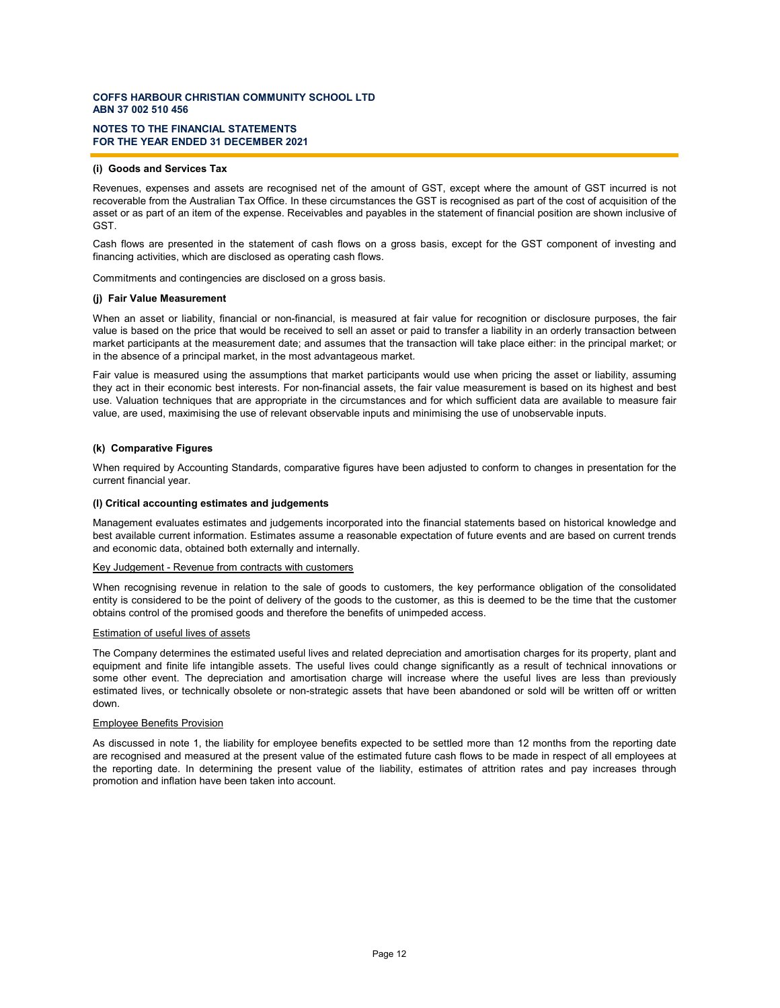### **NOTES TO THE FINANCIAL STATEMENTS FOR THE YEAR ENDED 31 DECEMBER 2021**

### **(i) Goods and Services Tax**

Revenues, expenses and assets are recognised net of the amount of GST, except where the amount of GST incurred is not recoverable from the Australian Tax Office. In these circumstances the GST is recognised as part of the cost of acquisition of the asset or as part of an item of the expense. Receivables and payables in the statement of financial position are shown inclusive of GST.

Cash flows are presented in the statement of cash flows on a gross basis, except for the GST component of investing and financing activities, which are disclosed as operating cash flows.

Commitments and contingencies are disclosed on a gross basis.

#### **(j) Fair Value Measurement**

When an asset or liability, financial or non-financial, is measured at fair value for recognition or disclosure purposes, the fair value is based on the price that would be received to sell an asset or paid to transfer a liability in an orderly transaction between market participants at the measurement date; and assumes that the transaction will take place either: in the principal market; or in the absence of a principal market, in the most advantageous market.

Fair value is measured using the assumptions that market participants would use when pricing the asset or liability, assuming they act in their economic best interests. For non-financial assets, the fair value measurement is based on its highest and best use. Valuation techniques that are appropriate in the circumstances and for which sufficient data are available to measure fair value, are used, maximising the use of relevant observable inputs and minimising the use of unobservable inputs.

### **(k) Comparative Figures**

When required by Accounting Standards, comparative figures have been adjusted to conform to changes in presentation for the current financial year.

#### **(l) Critical accounting estimates and judgements**

Management evaluates estimates and judgements incorporated into the financial statements based on historical knowledge and best available current information. Estimates assume a reasonable expectation of future events and are based on current trends and economic data, obtained both externally and internally.

#### Key Judgement - Revenue from contracts with customers

When recognising revenue in relation to the sale of goods to customers, the key performance obligation of the consolidated entity is considered to be the point of delivery of the goods to the customer, as this is deemed to be the time that the customer obtains control of the promised goods and therefore the benefits of unimpeded access.

#### Estimation of useful lives of assets

The Company determines the estimated useful lives and related depreciation and amortisation charges for its property, plant and equipment and finite life intangible assets. The useful lives could change significantly as a result of technical innovations or some other event. The depreciation and amortisation charge will increase where the useful lives are less than previously estimated lives, or technically obsolete or non-strategic assets that have been abandoned or sold will be written off or written down.

#### Employee Benefits Provision

As discussed in note 1, the liability for employee benefits expected to be settled more than 12 months from the reporting date are recognised and measured at the present value of the estimated future cash flows to be made in respect of all employees at the reporting date. In determining the present value of the liability, estimates of attrition rates and pay increases through promotion and inflation have been taken into account.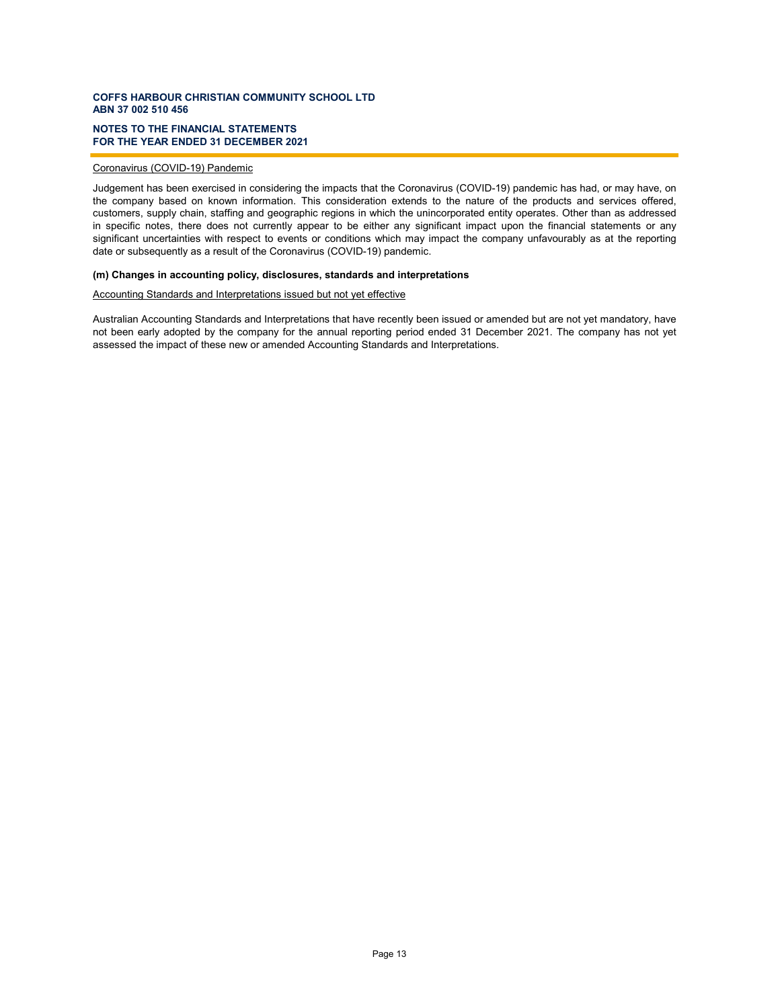### **NOTES TO THE FINANCIAL STATEMENTS FOR THE YEAR ENDED 31 DECEMBER 2021**

### Coronavirus (COVID-19) Pandemic

Judgement has been exercised in considering the impacts that the Coronavirus (COVID-19) pandemic has had, or may have, on the company based on known information. This consideration extends to the nature of the products and services offered, customers, supply chain, staffing and geographic regions in which the unincorporated entity operates. Other than as addressed in specific notes, there does not currently appear to be either any significant impact upon the financial statements or any significant uncertainties with respect to events or conditions which may impact the company unfavourably as at the reporting date or subsequently as a result of the Coronavirus (COVID-19) pandemic.

### **(m) Changes in accounting policy, disclosures, standards and interpretations**

### Accounting Standards and Interpretations issued but not yet effective

Australian Accounting Standards and Interpretations that have recently been issued or amended but are not yet mandatory, have not been early adopted by the company for the annual reporting period ended 31 December 2021. The company has not yet assessed the impact of these new or amended Accounting Standards and Interpretations.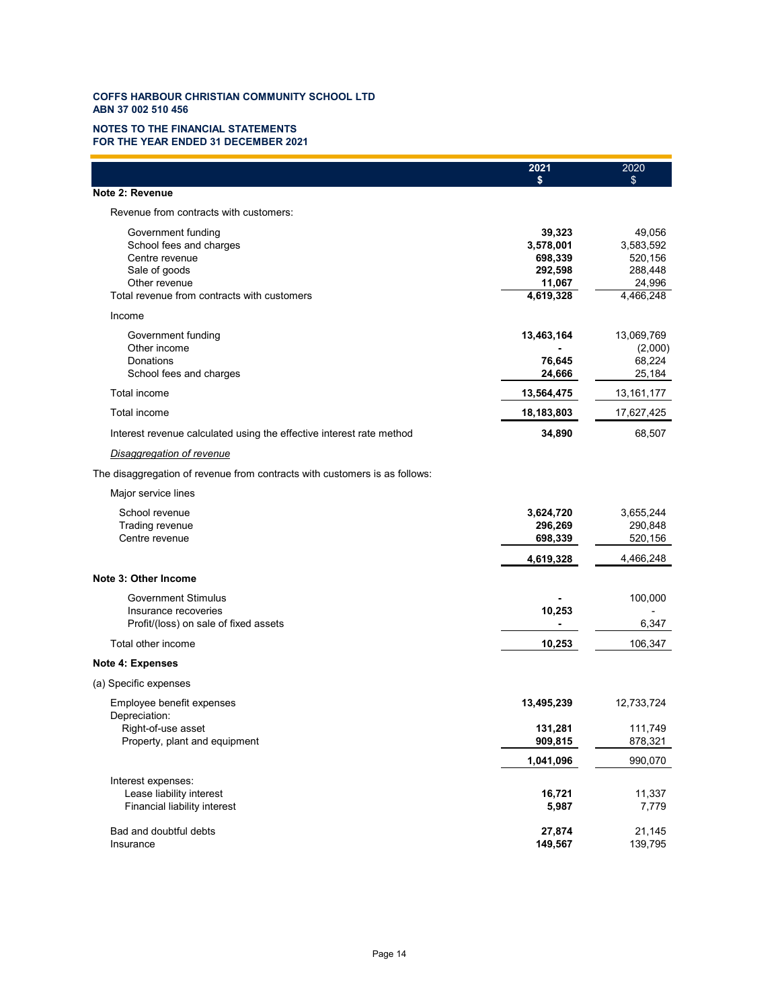### **NOTES TO THE FINANCIAL STATEMENTS FOR THE YEAR ENDED 31 DECEMBER 2021**

|                                                                            | 2021       | 2020         |
|----------------------------------------------------------------------------|------------|--------------|
|                                                                            |            | \$           |
| Note 2: Revenue                                                            |            |              |
| Revenue from contracts with customers:                                     |            |              |
| Government funding                                                         | 39,323     | 49,056       |
| School fees and charges                                                    | 3,578,001  | 3,583,592    |
| Centre revenue                                                             | 698,339    | 520,156      |
| Sale of goods                                                              | 292,598    | 288,448      |
| Other revenue                                                              | 11,067     | 24,996       |
| Total revenue from contracts with customers                                | 4,619,328  | 4,466,248    |
| Income                                                                     |            |              |
| Government funding                                                         | 13,463,164 | 13,069,769   |
| Other income                                                               |            | (2,000)      |
| Donations                                                                  | 76,645     | 68,224       |
| School fees and charges                                                    | 24,666     | 25,184       |
| Total income                                                               | 13,564,475 | 13, 161, 177 |
| Total income                                                               | 18,183,803 | 17,627,425   |
| Interest revenue calculated using the effective interest rate method       | 34,890     | 68,507       |
| Disaggregation of revenue                                                  |            |              |
| The disaggregation of revenue from contracts with customers is as follows: |            |              |
| Major service lines                                                        |            |              |
| School revenue                                                             | 3,624,720  | 3,655,244    |
| Trading revenue                                                            | 296,269    | 290,848      |
| Centre revenue                                                             | 698,339    | 520,156      |
|                                                                            | 4,619,328  | 4,466,248    |
| Note 3: Other Income                                                       |            |              |
|                                                                            |            |              |
| <b>Government Stimulus</b>                                                 |            | 100,000      |
| Insurance recoveries                                                       | 10,253     |              |
| Profit/(loss) on sale of fixed assets                                      |            | 6,347        |
| Total other income                                                         | 10,253     | 106,347      |
| <b>Note 4: Expenses</b>                                                    |            |              |
| (a) Specific expenses                                                      |            |              |
| Employee benefit expenses                                                  | 13,495,239 | 12,733,724   |
| Depreciation:                                                              |            |              |
| Right-of-use asset                                                         | 131,281    | 111,749      |
| Property, plant and equipment                                              | 909,815    | 878,321      |
|                                                                            | 1,041,096  | 990,070      |
| Interest expenses:                                                         |            |              |
| Lease liability interest                                                   | 16,721     | 11,337       |
| Financial liability interest                                               | 5,987      | 7,779        |
| Bad and doubtful debts                                                     | 27,874     | 21,145       |
| Insurance                                                                  | 149,567    | 139,795      |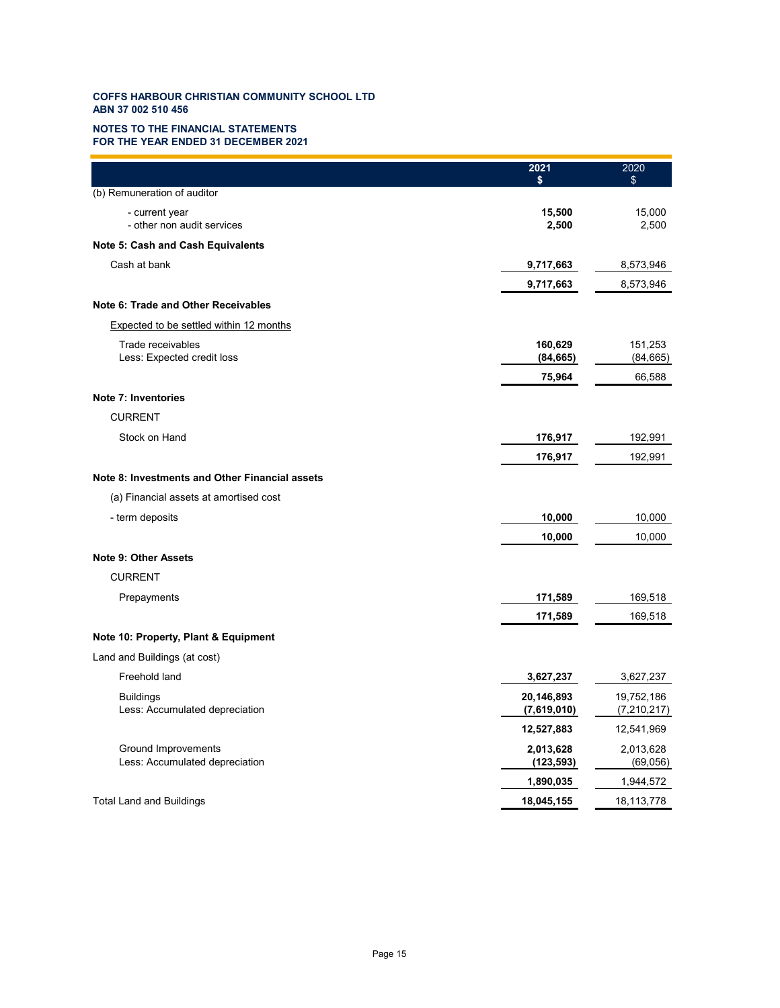### **NOTES TO THE FINANCIAL STATEMENTS FOR THE YEAR ENDED 31 DECEMBER 2021**

|                                                       | 2021<br>\$                | 2020<br>\$                  |
|-------------------------------------------------------|---------------------------|-----------------------------|
| (b) Remuneration of auditor                           |                           |                             |
| - current year<br>- other non audit services          | 15,500<br>2,500           | 15,000<br>2,500             |
| Note 5: Cash and Cash Equivalents                     |                           |                             |
| Cash at bank                                          | 9,717,663                 | 8,573,946                   |
|                                                       | 9,717,663                 | 8,573,946                   |
| Note 6: Trade and Other Receivables                   |                           |                             |
| <b>Expected to be settled within 12 months</b>        |                           |                             |
| Trade receivables<br>Less: Expected credit loss       | 160,629<br>(84, 665)      | 151,253<br>(84, 665)        |
|                                                       | 75,964                    | 66,588                      |
| <b>Note 7: Inventories</b>                            |                           |                             |
| <b>CURRENT</b>                                        |                           |                             |
| Stock on Hand                                         | 176,917                   | 192,991                     |
|                                                       | 176,917                   | 192,991                     |
| Note 8: Investments and Other Financial assets        |                           |                             |
| (a) Financial assets at amortised cost                |                           |                             |
| - term deposits                                       | 10,000                    | 10,000                      |
|                                                       | 10,000                    | 10,000                      |
| <b>Note 9: Other Assets</b>                           |                           |                             |
| <b>CURRENT</b>                                        |                           |                             |
| Prepayments                                           | 171,589                   | 169,518                     |
|                                                       | 171,589                   | 169,518                     |
| Note 10: Property, Plant & Equipment                  |                           |                             |
| Land and Buildings (at cost)                          |                           |                             |
| Freehold land                                         | 3,627,237                 | 3,627,237                   |
| <b>Buildings</b><br>Less: Accumulated depreciation    | 20,146,893<br>(7,619,010) | 19,752,186<br>(7, 210, 217) |
|                                                       | 12,527,883                | 12,541,969                  |
| Ground Improvements<br>Less: Accumulated depreciation | 2,013,628<br>(123, 593)   | 2,013,628<br>(69,056)       |
|                                                       | 1,890,035                 | 1,944,572                   |
| <b>Total Land and Buildings</b>                       | 18,045,155                | 18,113,778                  |
|                                                       |                           |                             |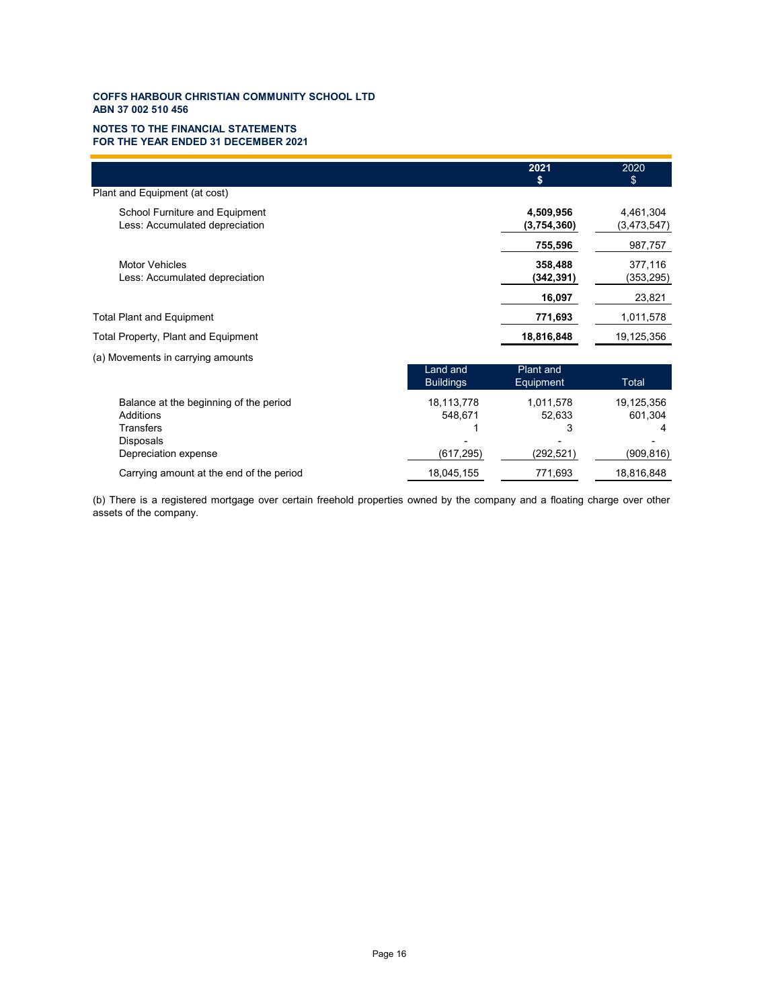### **NOTES TO THE FINANCIAL STATEMENTS FOR THE YEAR ENDED 31 DECEMBER 2021**

|                                          |                  | 2021        | 2020        |
|------------------------------------------|------------------|-------------|-------------|
|                                          |                  | S           | \$          |
| Plant and Equipment (at cost)            |                  |             |             |
| School Furniture and Equipment           |                  | 4,509,956   | 4,461,304   |
| Less: Accumulated depreciation           |                  | (3,754,360) | (3,473,547) |
|                                          |                  | 755,596     | 987,757     |
| <b>Motor Vehicles</b>                    |                  | 358,488     | 377,116     |
| Less: Accumulated depreciation           |                  | (342, 391)  | (353, 295)  |
|                                          |                  | 16,097      | 23,821      |
| <b>Total Plant and Equipment</b>         |                  | 771,693     | 1,011,578   |
| Total Property, Plant and Equipment      |                  | 18,816,848  | 19,125,356  |
| (a) Movements in carrying amounts        |                  |             |             |
|                                          | Land and         | Plant and   |             |
|                                          | <b>Buildings</b> | Equipment   | Total       |
| Balance at the beginning of the period   | 18,113,778       | 1,011,578   | 19,125,356  |
| Additions                                | 548,671          | 52,633      | 601,304     |
| <b>Transfers</b>                         |                  | 3           | 4           |
| Disposals                                |                  |             |             |
| Depreciation expense                     | (617, 295)       | (292, 521)  | (909, 816)  |
| Carrying amount at the end of the period | 18,045,155       | 771,693     | 18,816,848  |

(b) There is a registered mortgage over certain freehold properties owned by the company and a floating charge over other assets of the company.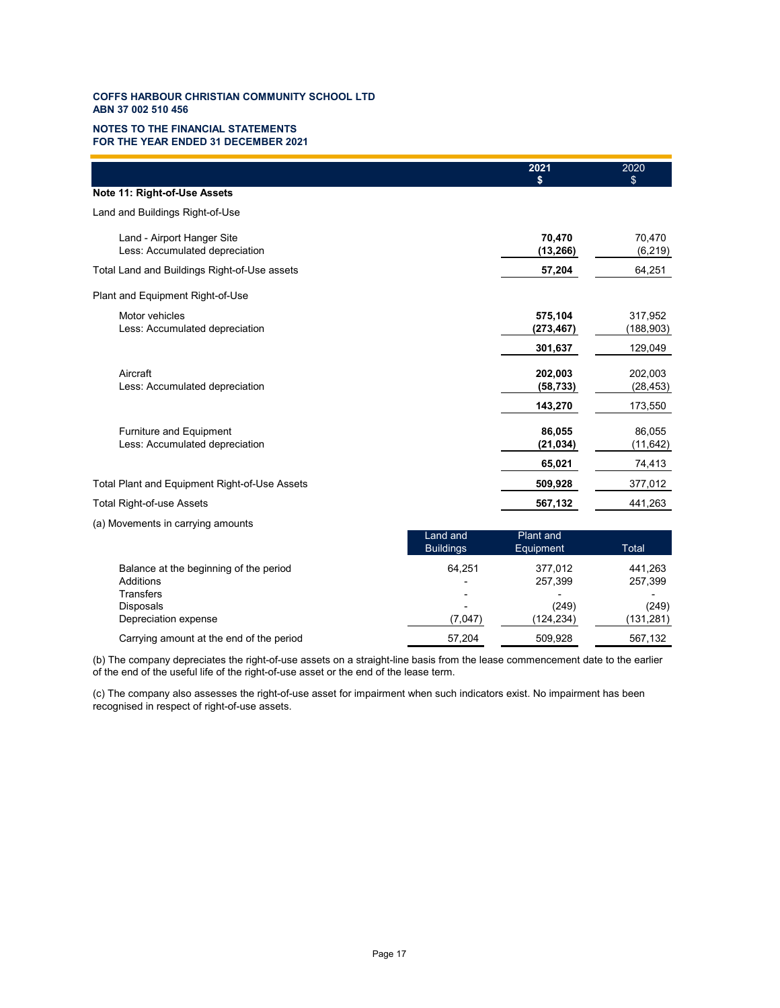### **NOTES TO THE FINANCIAL STATEMENTS FOR THE YEAR ENDED 31 DECEMBER 2021**

|                                                                  |                              | 2021<br>S                     | 2020<br>\$            |
|------------------------------------------------------------------|------------------------------|-------------------------------|-----------------------|
| Note 11: Right-of-Use Assets                                     |                              |                               |                       |
| Land and Buildings Right-of-Use                                  |                              |                               |                       |
| Land - Airport Hanger Site<br>Less: Accumulated depreciation     |                              | 70,470<br>(13, 266)           | 70,470<br>(6, 219)    |
| Total Land and Buildings Right-of-Use assets                     |                              | 57,204                        | 64,251                |
| Plant and Equipment Right-of-Use                                 |                              |                               |                       |
| Motor vehicles<br>Less: Accumulated depreciation                 |                              | 575,104<br>(273, 467)         | 317,952<br>(188, 903) |
|                                                                  |                              | 301,637                       | 129,049               |
| Aircraft<br>Less: Accumulated depreciation                       |                              | 202,003<br>(58, 733)          | 202,003<br>(28, 453)  |
|                                                                  |                              | 143,270                       | 173,550               |
| <b>Furniture and Equipment</b><br>Less: Accumulated depreciation |                              | 86,055<br>(21, 034)           | 86,055<br>(11, 642)   |
|                                                                  |                              | 65,021                        | 74,413                |
| Total Plant and Equipment Right-of-Use Assets                    |                              | 509,928                       | 377,012               |
| <b>Total Right-of-use Assets</b>                                 |                              | 567,132                       | 441,263               |
| (a) Movements in carrying amounts                                |                              |                               |                       |
|                                                                  | Land and<br><b>Buildings</b> | <b>Plant and</b><br>Equipment | <b>Total</b>          |
| Balance at the beginning of the period<br>Additions              | 64,251                       | 377,012<br>257,399            | 441,263<br>257,399    |
| <b>Transfers</b><br><b>Disposals</b>                             |                              | (249)                         | (249)                 |

(b) The company depreciates the right-of-use assets on a straight-line basis from the lease commencement date to the earlier of the end of the useful life of the right-of-use asset or the end of the lease term.

Depreciation expense (7,047) (124,234) ( 131,281) Carrying amount at the end of the period 57,204 509,928 567,132

(c) The company also assesses the right-of-use asset for impairment when such indicators exist. No impairment has been recognised in respect of right-of-use assets.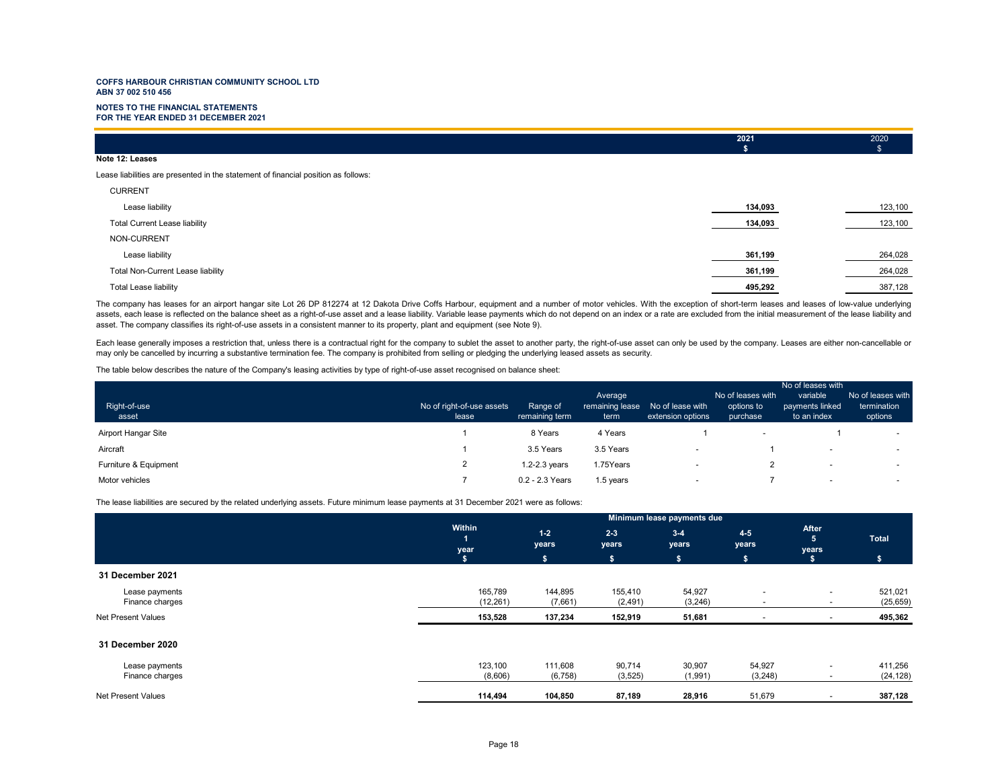#### **NOTES TO THE FINANCIAL STATEMENTSFOR THE YEAR ENDED 31 DECEMBER 2021**

|                 | 2021 | 2020 |
|-----------------|------|------|
|                 |      |      |
| Note 12: Leases |      |      |

Lease liabilities are presented in the statement of financial position as follows:

| <b>CURRENT</b>                       |         |         |
|--------------------------------------|---------|---------|
| Lease liability                      | 134,093 | 123,100 |
| <b>Total Current Lease liability</b> | 134,093 | 123,100 |
| NON-CURRENT                          |         |         |
| Lease liability                      | 361,199 | 264,028 |
| Total Non-Current Lease liability    | 361,199 | 264,028 |
| <b>Total Lease liability</b>         | 495,292 | 387,128 |
|                                      |         |         |

The company has leases for an airport hangar site Lot 26 DP 812274 at 12 Dakota Drive Coffs Harbour, equipment and a number of motor vehicles. With the exception of short-term leases and leases of low-value underlying assets, each lease is reflected on the balance sheet as a right-of-use asset and a lease liability. Variable lease payments which do not depend on an index or a rate are excluded from the initial measurement of the lease l asset. The company classifies its right-of-use assets in a consistent manner to its property, plant and equipment (see Note 9).

Each lease generally imposes a restriction that, unless there is a contractual right for the company to sublet the asset to another party, the right-of-use asset can only be used by the company. Leases are either non-cance may only be cancelled by incurring a substantive termination fee. The company is prohibited from selling or pledging the underlying leased assets as security.

The table below describes the nature of the Company's leasing activities by type of right-of-use asset recognised on balance sheet:

|                       |                                    |                            |                                    |                                       | No of leases with                           |                                            |                                             |
|-----------------------|------------------------------------|----------------------------|------------------------------------|---------------------------------------|---------------------------------------------|--------------------------------------------|---------------------------------------------|
| Right-of-use<br>asset | No of right-of-use assets<br>lease | Range of<br>remaining term | Average<br>remaining lease<br>term | No of lease with<br>extension options | No of leases with<br>options to<br>purchase | variable<br>payments linked<br>to an index | No of leases with<br>termination<br>options |
| Airport Hangar Site   |                                    | 8 Years                    | 4 Years                            |                                       | $\overline{\phantom{a}}$                    |                                            | $\sim$                                      |
| Aircraft              |                                    | 3.5 Years                  | 3.5 Years                          | $\overline{\phantom{a}}$              |                                             | $\overline{\phantom{0}}$                   | $\sim$                                      |
| Furniture & Equipment |                                    | $1.2 - 2.3$ years          | 1.75Years                          | $\overline{\phantom{a}}$              |                                             | $\overline{\phantom{0}}$                   | $\sim$                                      |
| Motor vehicles        |                                    | 0.2 - 2.3 Years            | 1.5 years                          | $\overline{\phantom{a}}$              |                                             | $\overline{\phantom{0}}$                   | $\overline{\phantom{0}}$                    |

The lease liabilities are secured by the related underlying assets. Future minimum lease payments at 31 December 2021 were as follows:

|                           |                | Minimum lease payments due |                  |                  |                          |                          |              |  |
|---------------------------|----------------|----------------------------|------------------|------------------|--------------------------|--------------------------|--------------|--|
|                           | Within<br>year | $1 - 2$<br>years           | $2 - 3$<br>years | $3 - 4$<br>years | $4-5$<br>years           | After<br>5<br>years      | <b>Total</b> |  |
|                           | S.             | \$                         | s.               | s.               | \$                       |                          | ۱S۰          |  |
| 31 December 2021          |                |                            |                  |                  |                          |                          |              |  |
| Lease payments            | 165,789        | 144,895                    | 155,410          | 54,927           | $\overline{a}$           | $\sim$                   | 521,021      |  |
| Finance charges           | (12, 261)      | (7,661)                    | (2, 491)         | (3, 246)         |                          | $\overline{\phantom{0}}$ | (25, 659)    |  |
| Net Present Values        | 153,528        | 137,234                    | 152,919          | 51,681           | $\overline{\phantom{a}}$ | $\overline{\phantom{a}}$ | 495,362      |  |
| 31 December 2020          |                |                            |                  |                  |                          |                          |              |  |
| Lease payments            | 123,100        | 111,608                    | 90,714           | 30,907           | 54,927                   | $\sim$                   | 411,256      |  |
| Finance charges           | (8,606)        | (6, 758)                   | (3, 525)         | (1,991)          | (3,248)                  | $\overline{\phantom{a}}$ | (24, 128)    |  |
| <b>Net Present Values</b> | 114,494        | 104,850                    | 87,189           | 28,916           | 51,679                   | $\sim$                   | 387,128      |  |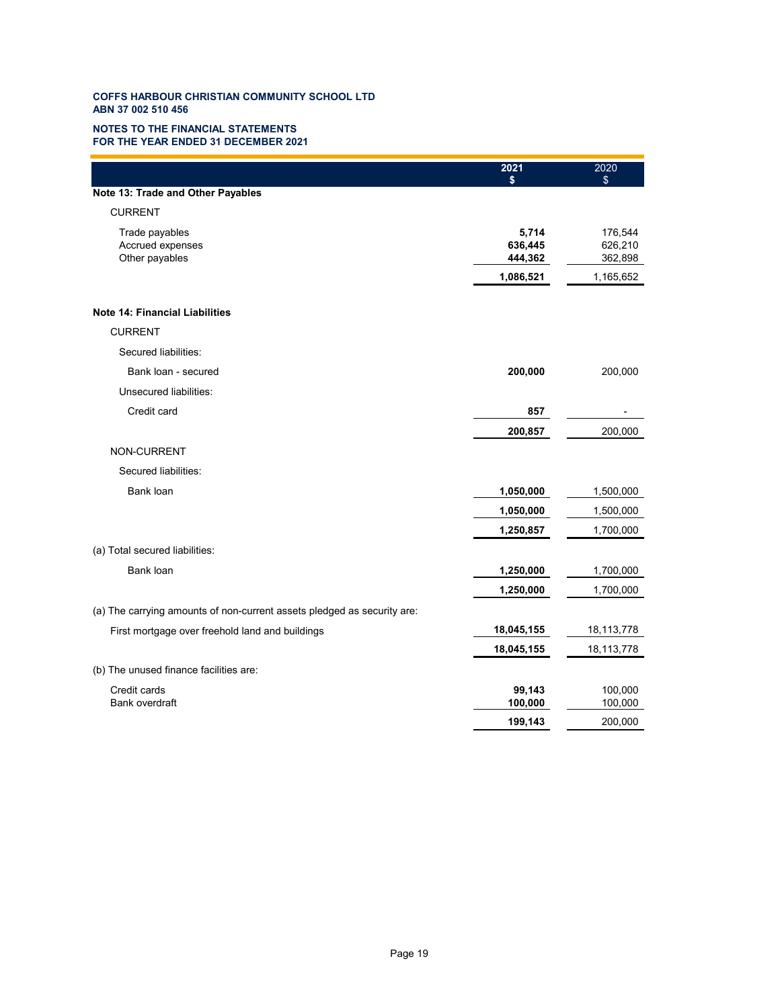### **NOTES TO THE FINANCIAL STATEMENTS FOR THE YEAR ENDED 31 DECEMBER 2021**

|                                                                         | 2021                        | 2020<br>\$                    |
|-------------------------------------------------------------------------|-----------------------------|-------------------------------|
| Note 13: Trade and Other Payables                                       |                             |                               |
| <b>CURRENT</b>                                                          |                             |                               |
| Trade payables<br>Accrued expenses<br>Other payables                    | 5,714<br>636,445<br>444,362 | 176,544<br>626,210<br>362,898 |
|                                                                         | 1,086,521                   | 1,165,652                     |
| <b>Note 14: Financial Liabilities</b>                                   |                             |                               |
| <b>CURRENT</b>                                                          |                             |                               |
| Secured liabilities:                                                    |                             |                               |
| Bank loan - secured                                                     | 200,000                     | 200,000                       |
| Unsecured liabilities:                                                  |                             |                               |
| Credit card                                                             | 857                         |                               |
|                                                                         | 200,857                     | 200,000                       |
| NON-CURRENT                                                             |                             |                               |
| Secured liabilities:                                                    |                             |                               |
| Bank loan                                                               | 1,050,000                   | 1,500,000                     |
|                                                                         | 1,050,000                   | 1,500,000                     |
|                                                                         | 1,250,857                   | 1,700,000                     |
| (a) Total secured liabilities:                                          |                             |                               |
| Bank loan                                                               | 1,250,000                   | 1,700,000                     |
|                                                                         | 1,250,000                   | 1,700,000                     |
| (a) The carrying amounts of non-current assets pledged as security are: |                             |                               |
| First mortgage over freehold land and buildings                         | 18,045,155                  | 18,113,778                    |
|                                                                         | 18,045,155                  | 18,113,778                    |
| (b) The unused finance facilities are:                                  |                             |                               |
| Credit cards<br>Bank overdraft                                          | 99,143<br>100,000           | 100,000<br>100,000            |
|                                                                         | 199,143                     | 200,000                       |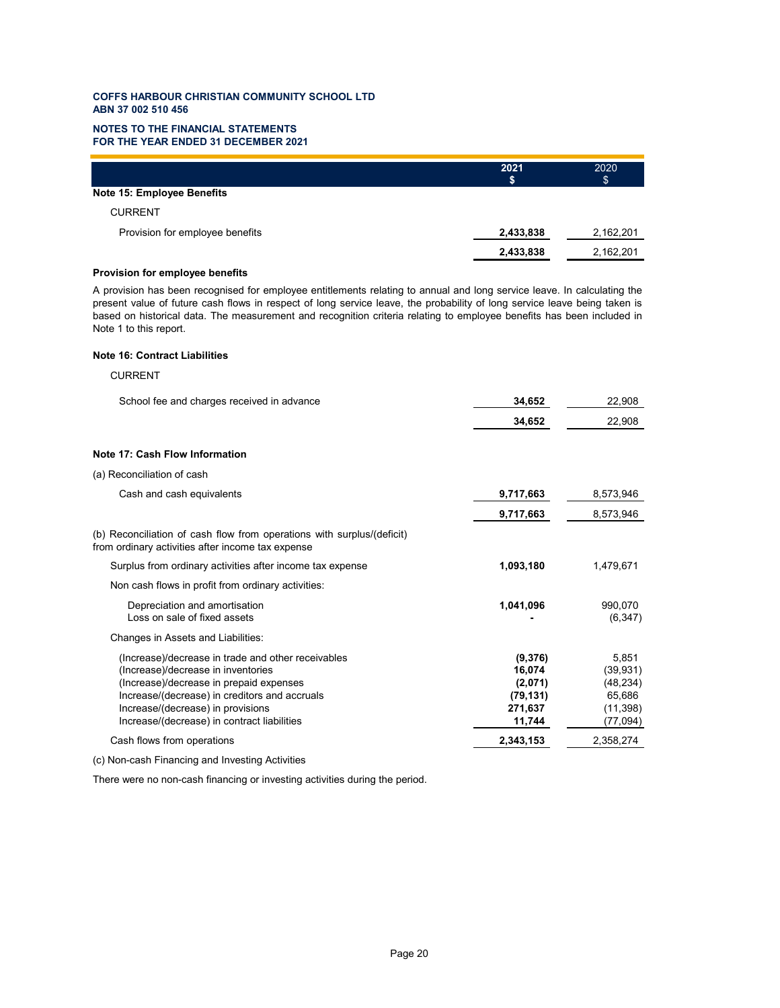### **NOTES TO THE FINANCIAL STATEMENTS FOR THE YEAR ENDED 31 DECEMBER 2021**

|                                   | 2021<br>S | 2020<br>\$ |
|-----------------------------------|-----------|------------|
| <b>Note 15: Employee Benefits</b> |           |            |
| <b>CURRENT</b>                    |           |            |
| Provision for employee benefits   | 2,433,838 | 2,162,201  |
|                                   | 2,433,838 | 2,162,201  |

### **Provision for employee benefits**

A provision has been recognised for employee entitlements relating to annual and long service leave. In calculating the present value of future cash flows in respect of long service leave, the probability of long service leave being taken is based on historical data. The measurement and recognition criteria relating to employee benefits has been included in Note 1 to this report.

# **Note 16: Contract Liabilities**

## CURRENT

| School fee and charges received in advance                                                                                                                                                                                                                               | 34,652                                                         | 22,908                                                             |
|--------------------------------------------------------------------------------------------------------------------------------------------------------------------------------------------------------------------------------------------------------------------------|----------------------------------------------------------------|--------------------------------------------------------------------|
|                                                                                                                                                                                                                                                                          | 34,652                                                         | 22,908                                                             |
| Note 17: Cash Flow Information                                                                                                                                                                                                                                           |                                                                |                                                                    |
| (a) Reconciliation of cash                                                                                                                                                                                                                                               |                                                                |                                                                    |
| Cash and cash equivalents                                                                                                                                                                                                                                                | 9,717,663                                                      | 8,573,946                                                          |
|                                                                                                                                                                                                                                                                          | 9,717,663                                                      | 8,573,946                                                          |
| (b) Reconciliation of cash flow from operations with surplus/(deficit)<br>from ordinary activities after income tax expense                                                                                                                                              |                                                                |                                                                    |
| Surplus from ordinary activities after income tax expense                                                                                                                                                                                                                | 1,093,180                                                      | 1,479,671                                                          |
| Non cash flows in profit from ordinary activities:                                                                                                                                                                                                                       |                                                                |                                                                    |
| Depreciation and amortisation<br>Loss on sale of fixed assets                                                                                                                                                                                                            | 1,041,096                                                      | 990.070<br>(6, 347)                                                |
| Changes in Assets and Liabilities:                                                                                                                                                                                                                                       |                                                                |                                                                    |
| (Increase)/decrease in trade and other receivables<br>(Increase)/decrease in inventories<br>(Increase)/decrease in prepaid expenses<br>Increase/(decrease) in creditors and accruals<br>Increase/(decrease) in provisions<br>Increase/(decrease) in contract liabilities | (9,376)<br>16,074<br>(2,071)<br>(79, 131)<br>271,637<br>11,744 | 5,851<br>(39, 931)<br>(48, 234)<br>65,686<br>(11, 398)<br>(77,094) |
| Cash flows from operations                                                                                                                                                                                                                                               | 2,343,153                                                      | 2,358,274                                                          |
|                                                                                                                                                                                                                                                                          |                                                                |                                                                    |

(c) Non-cash Financing and Investing Activities

There were no non-cash financing or investing activities during the period.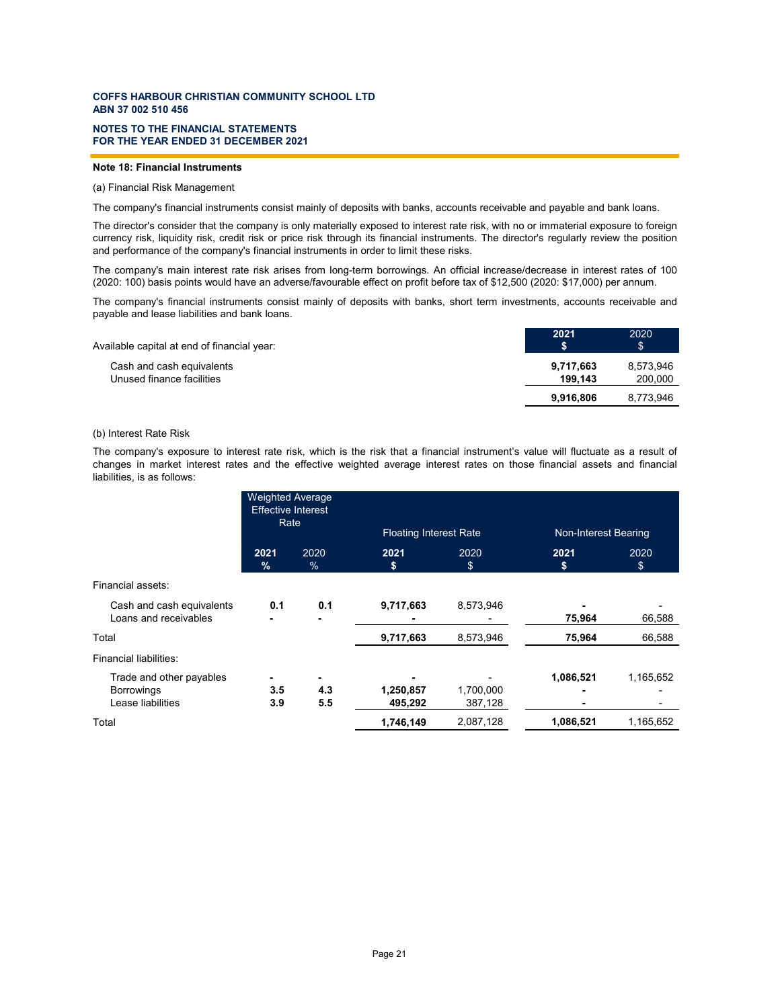### **FOR THE YEAR ENDED 31 DECEMBER 2021 NOTES TO THE FINANCIAL STATEMENTS**

### **Note 18: Financial Instruments**

### (a) Financial Risk Management

The company's financial instruments consist mainly of deposits with banks, accounts receivable and payable and bank loans.

The director's consider that the company is only materially exposed to interest rate risk, with no or immaterial exposure to foreign currency risk, liquidity risk, credit risk or price risk through its financial instruments. The director's regularly review the position and performance of the company's financial instruments in order to limit these risks.

The company's main interest rate risk arises from long-term borrowings. An official increase/decrease in interest rates of 100 (2020: 100) basis points would have an adverse/favourable effect on profit before tax of \$12,500 (2020: \$17,000) per annum.

The company's financial instruments consist mainly of deposits with banks, short term investments, accounts receivable and payable and lease liabilities and bank loans.

| 2021                 | 2020<br>\$           |
|----------------------|----------------------|
| 9,717,663<br>199.143 | 8,573,946<br>200,000 |
| 9.916.806            | 8,773,946            |
|                      |                      |

### (b) Interest Rate Risk

The company's exposure to interest rate risk, which is the risk that a financial instrument's value will fluctuate as a result of changes in market interest rates and the effective weighted average interest rates on those financial assets and financial liabilities, is as follows:

|                                                                    | <b>Weighted Average</b><br><b>Effective Interest</b><br>Rate |                 | <b>Floating Interest Rate</b> |                      | Non-Interest Bearing |                                       |
|--------------------------------------------------------------------|--------------------------------------------------------------|-----------------|-------------------------------|----------------------|----------------------|---------------------------------------|
|                                                                    | 2021<br>$\frac{9}{6}$                                        | 2020<br>$\%$    | 2021<br>\$                    | 2020<br>\$           | 2021<br>s            | 2020<br>$$^{\circ}$                   |
| Financial assets:                                                  |                                                              |                 |                               |                      |                      |                                       |
| Cash and cash equivalents<br>Loans and receivables                 | 0.1                                                          | 0.1             | 9,717,663                     | 8,573,946            | 75,964               | 66,588                                |
| Total                                                              |                                                              |                 | 9,717,663                     | 8,573,946            | 75,964               | 66,588                                |
| Financial liabilities:                                             |                                                              |                 |                               |                      |                      |                                       |
| Trade and other payables<br><b>Borrowings</b><br>Lease liabilities | 3.5<br>3.9                                                   | ۰<br>4.3<br>5.5 | 1,250,857<br>495,292          | 1,700,000<br>387,128 | 1,086,521            | 1,165,652<br>$\overline{\phantom{0}}$ |
| Total                                                              |                                                              |                 | 1,746,149                     | 2,087,128            | 1,086,521            | 1,165,652                             |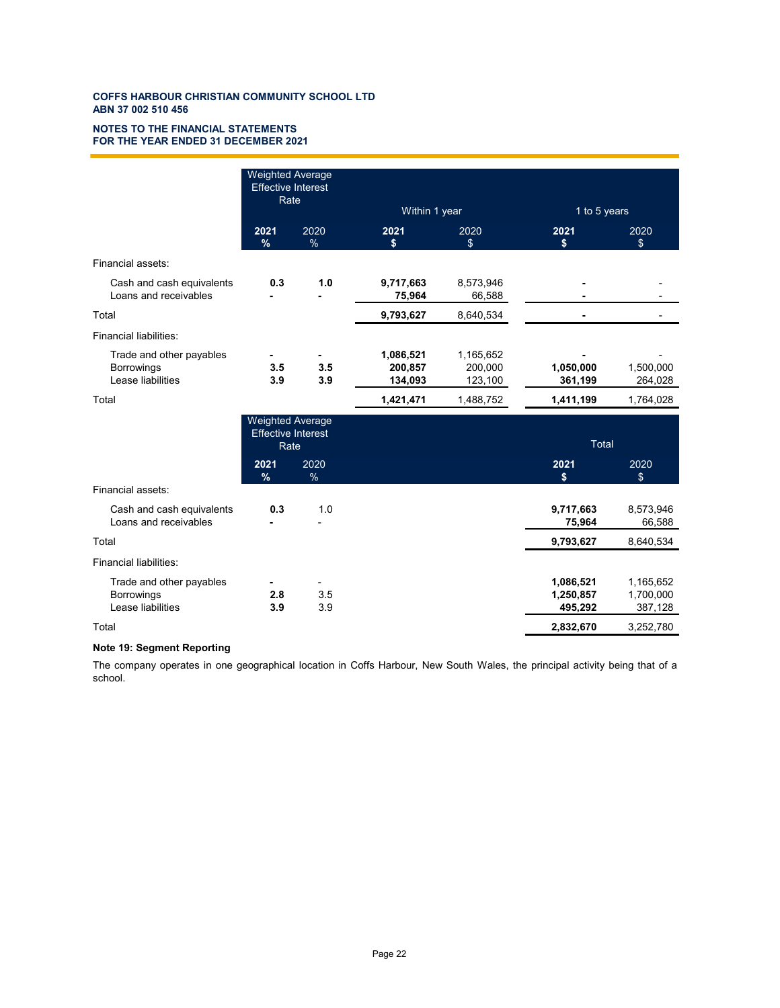### **FOR THE YEAR ENDED 31 DECEMBER 2021 NOTES TO THE FINANCIAL STATEMENTS**

|                                                                    | <b>Weighted Average</b><br><b>Effective Interest</b><br>Rate |                       | Within 1 year                   |                                 | 1 to 5 years                      |                                   |
|--------------------------------------------------------------------|--------------------------------------------------------------|-----------------------|---------------------------------|---------------------------------|-----------------------------------|-----------------------------------|
|                                                                    | 2021<br>%                                                    | 2020<br>$\frac{9}{6}$ | 2021<br>\$                      | 2020<br>\$                      | 2021<br>S                         | 2020<br>\$                        |
| Financial assets:                                                  |                                                              |                       |                                 |                                 |                                   |                                   |
| Cash and cash equivalents<br>Loans and receivables                 | 0.3                                                          | 1.0                   | 9,717,663<br>75,964             | 8,573,946<br>66,588             |                                   |                                   |
| Total                                                              |                                                              |                       | 9,793,627                       | 8,640,534                       | ٠                                 | $\blacksquare$                    |
| Financial liabilities:                                             |                                                              |                       |                                 |                                 |                                   |                                   |
| Trade and other payables<br><b>Borrowings</b><br>Lease liabilities | 3.5<br>3.9                                                   | 3.5<br>3.9            | 1,086,521<br>200,857<br>134,093 | 1,165,652<br>200,000<br>123,100 | 1,050,000<br>361,199              | 1,500,000<br>264,028              |
| Total                                                              |                                                              |                       | 1,421,471                       | 1,488,752                       | 1,411,199                         | 1,764,028                         |
|                                                                    | <b>Weighted Average</b><br><b>Effective Interest</b><br>Rate |                       |                                 |                                 | <b>Total</b>                      |                                   |
|                                                                    | 2021<br>%                                                    | 2020<br>%             |                                 |                                 | 2021<br>\$                        | 2020<br>\$                        |
| Financial assets:                                                  |                                                              |                       |                                 |                                 |                                   |                                   |
| Cash and cash equivalents<br>Loans and receivables                 | 0.3                                                          | 1.0                   |                                 |                                 | 9,717,663<br>75,964               | 8,573,946<br>66,588               |
| Total                                                              |                                                              |                       |                                 |                                 | 9,793,627                         | 8,640,534                         |
| Financial liabilities:                                             |                                                              |                       |                                 |                                 |                                   |                                   |
| Trade and other payables<br>Borrowings<br>Lease liabilities        | 2.8<br>3.9                                                   | 3.5<br>3.9            |                                 |                                 | 1,086,521<br>1,250,857<br>495,292 | 1,165,652<br>1,700,000<br>387,128 |
| Total                                                              |                                                              |                       |                                 |                                 | 2,832,670                         | 3,252,780                         |

# **Note 19: Segment Reporting**

The company operates in one geographical location in Coffs Harbour, New South Wales, the principal activity being that of a school.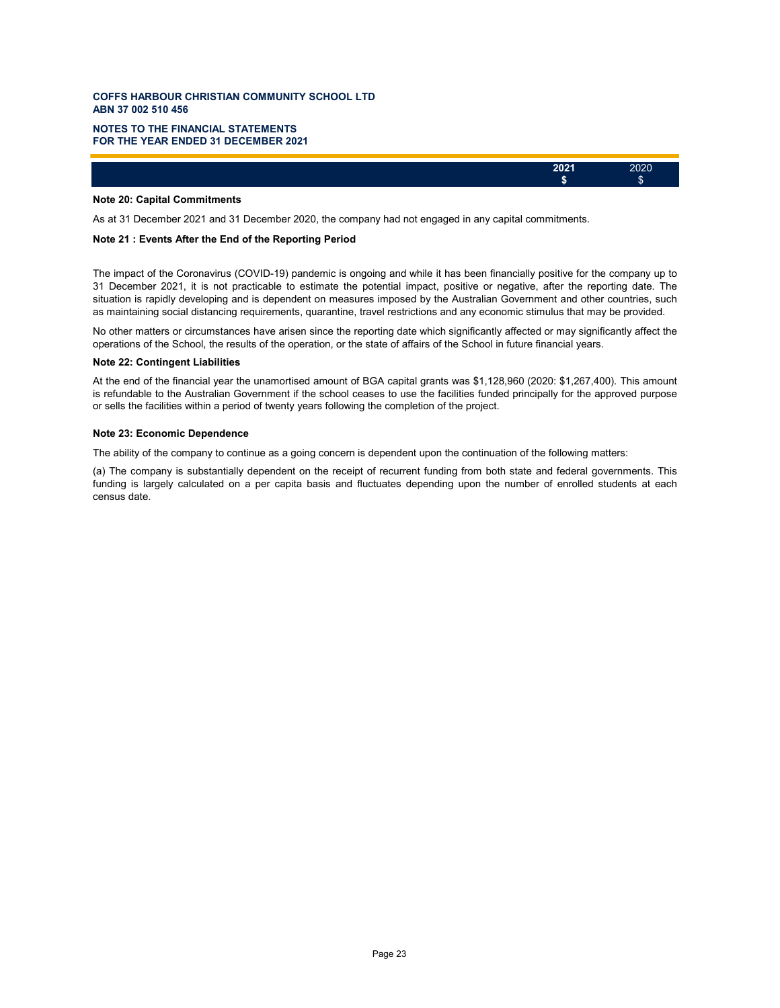### **FOR THE YEAR ENDED 31 DECEMBER 2021 NOTES TO THE FINANCIAL STATEMENTS**

### **Note 20: Capital Commitments**

As at 31 December 2021 and 31 December 2020, the company had not engaged in any capital commitments.

### **Note 21 : Events After the End of the Reporting Period**

The impact of the Coronavirus (COVID-19) pandemic is ongoing and while it has been financially positive for the company up to 31 December 2021, it is not practicable to estimate the potential impact, positive or negative, after the reporting date. The situation is rapidly developing and is dependent on measures imposed by the Australian Government and other countries, such as maintaining social distancing requirements, quarantine, travel restrictions and any economic stimulus that may be provided.

**2021** 2020 **\$** \$

No other matters or circumstances have arisen since the reporting date which significantly affected or may significantly affect the operations of the School, the results of the operation, or the state of affairs of the School in future financial years.

#### **Note 22: Contingent Liabilities**

At the end of the financial year the unamortised amount of BGA capital grants was \$1,128,960 (2020: \$1,267,400). This amount is refundable to the Australian Government if the school ceases to use the facilities funded principally for the approved purpose or sells the facilities within a period of twenty years following the completion of the project.

#### **Note 23: Economic Dependence**

The ability of the company to continue as a going concern is dependent upon the continuation of the following matters:

(a) The company is substantially dependent on the receipt of recurrent funding from both state and federal governments. This funding is largely calculated on a per capita basis and fluctuates depending upon the number of enrolled students at each census date.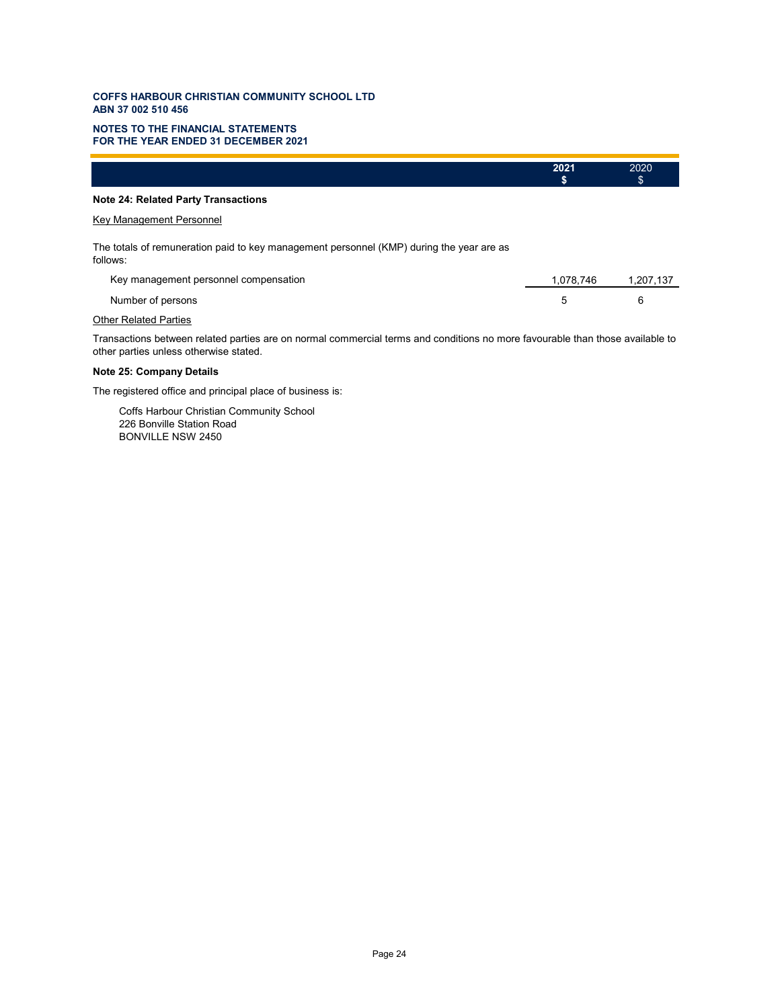### **FOR THE YEAR ENDED 31 DECEMBER 2021 NOTES TO THE FINANCIAL STATEMENTS**

|                                                                                                      | 2021<br>\$ | 2020<br>\$ |
|------------------------------------------------------------------------------------------------------|------------|------------|
| <b>Note 24: Related Party Transactions</b>                                                           |            |            |
| Key Management Personnel                                                                             |            |            |
| The totals of remuneration paid to key management personnel (KMP) during the year are as<br>follows: |            |            |
| Key management personnel compensation                                                                | 1,078,746  | 1,207,137  |
| Number of persons                                                                                    | 5          | 6          |

# **Other Related Parties**

Transactions between related parties are on normal commercial terms and conditions no more favourable than those available to other parties unless otherwise stated.

# **Note 25: Company Details**

The registered office and principal place of business is:

Coffs Harbour Christian Community School 226 Bonville Station Road BONVILLE NSW 2450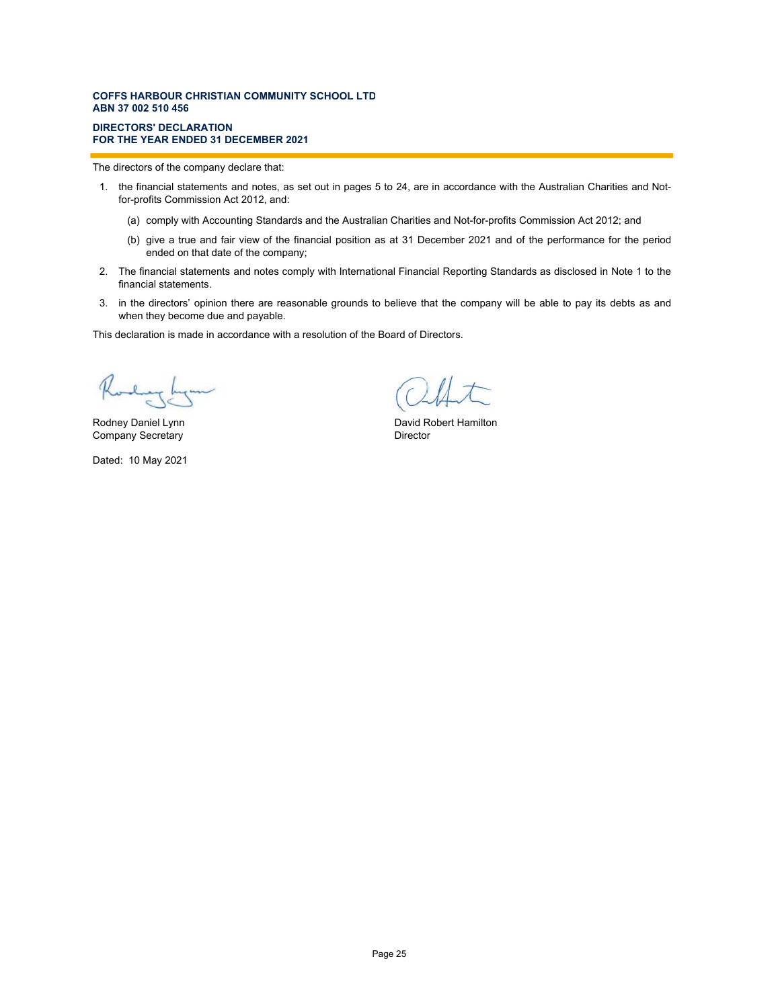#### **DIRECTORS' DECLARATION FOR THE YEAR ENDED 31 DECEMBER 2021**

The directors of the company declare that:

- 1. the financial statements and notes, as set out in pages 5 to 24, are in accordance with the Australian Charities and Notfor-profits Commission Act 2012, and:
	- (a) comply with Accounting Standards and the Australian Charities and Not-for-profits Commission Act 2012; and
	- (b) give a true and fair view of the financial position as at 31 December 2021 and of the performance for the period ended on that date of the company;
- 2. The financial statements and notes comply with International Financial Reporting Standards as disclosed in Note 1 to the financial statements.
- 3. in the directors' opinion there are reasonable grounds to believe that the company will be able to pay its debts as and when they become due and payable.

This declaration is made in accordance with a resolution of the Board of Directors.

change h

Company Secretary **Director Director** 

Dated: 10 May 2021

 $\Lambda$ 

Rodney Daniel Lynn **Natural Communist Communist Communist Communist Communist Communist Communist Communist Communist Communist Communist Communist Communist Communist Communist Communist Communist Communist Communist Comm**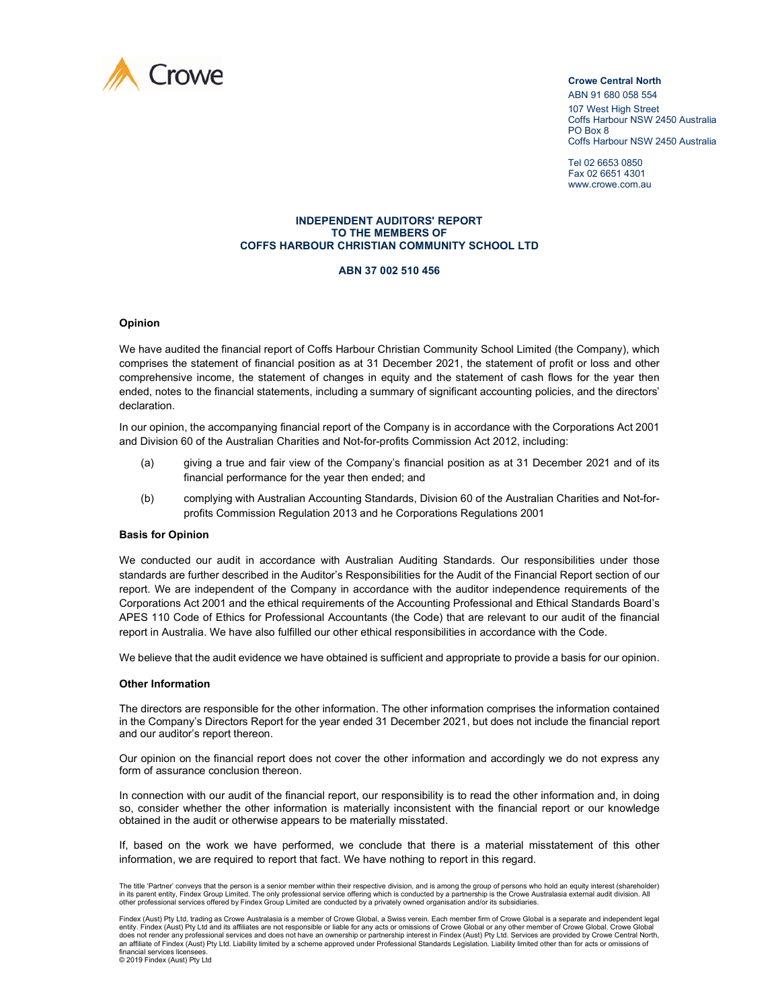

ABN 91 680 058 554 107 West High Street Coffs Harbour NSW 2450 Australia PO Box 8 Coffs Harbour NSW 2450 Australia

Tel 02 6653 0850 Fax 02 6651 4301 www.crowe.com.au

#### **INDEPENDENT AUDITORS' REPORT TO THE MEMBERS OF COFFS HARBOUR CHRISTIAN COMMUNITY SCHOOL LTD**

#### **ABN 37 002 510 456**

### **Opinion**

We have audited the financial report of Coffs Harbour Christian Community School Limited (the Company), which comprises the statement of financial position as at 31 December 2021, the statement of profit or loss and other comprehensive income, the statement of changes in equity and the statement of cash flows for the year then ended, notes to the financial statements, including a summary of significant accounting policies, and the directors' declaration.

In our opinion, the accompanying financial report of the Company is in accordance with the Corporations Act 2001 and Division 60 of the Australian Charities and Not-for-profits Commission Act 2012, including:

- (a) giving a true and fair view of the Company's financial position as at 31 December 2021 and of its financial performance for the year then ended; and
- (b) complying with Australian Accounting Standards, Division 60 of the Australian Charities and Not-forprofits Commission Regulation 2013 and he Corporations Regulations 2001

#### **Basis for Opinion**

We conducted our audit in accordance with Australian Auditing Standards. Our responsibilities under those standards are further described in the Auditor's Responsibilities for the Audit of the Financial Report section of our report. We are independent of the Company in accordance with the auditor independence requirements of the Corporations Act 2001 and the ethical requirements of the Accounting Professional and Ethical Standards Board's APES 110 Code of Ethics for Professional Accountants (the Code) that are relevant to our audit of the financial report in Australia. We have also fulfilled our other ethical responsibilities in accordance with the Code.

We believe that the audit evidence we have obtained is sufficient and appropriate to provide a basis for our opinion.

### **Other Information**

The directors are responsible for the other information. The other information comprises the information contained in the Company's Directors Report for the year ended 31 December 2021, but does not include the financial report and our auditor's report thereon.

Our opinion on the financial report does not cover the other information and accordingly we do not express any form of assurance conclusion thereon.

In connection with our audit of the financial report, our responsibility is to read the other information and, in doing so, consider whether the other information is materially inconsistent with the financial report or our knowledge obtained in the audit or otherwise appears to be materially misstated.

If, based on the work we have performed, we conclude that there is a material misstatement of this other information, we are required to report that fact. We have nothing to report in this regard.

The title 'Partner' conveys that the person is a senior member within their respective division, and is among the group of persons who hold an equity interest (shareholder)<br>in its parent entity, Findex Group Limited. The o other professional services offered by Findex Group Limited are conducted by a privately owned organisation and/or its subsidiaries.

Findex (Aust) Pty Ltd, trading as Crowe Australasia is a member of Crowe Global, a Swiss verein. Each member firm of Crowe Global is a separate and independent legal r maso, the set in the state of the set in the sponsible or liable for any acts or omissions of Crowe Global or any other member of Crowe Global. Crowe Global or any other member of Crowe Global. Crowe Global or any other does not render any professional services and does not have an ownership or partnership interest in Findex (Aust) Pty Ltd. Services are provided by Crowe Central North,<br>an affiliate of Findex (Aust) Pty Ltd. Liability limi financial services license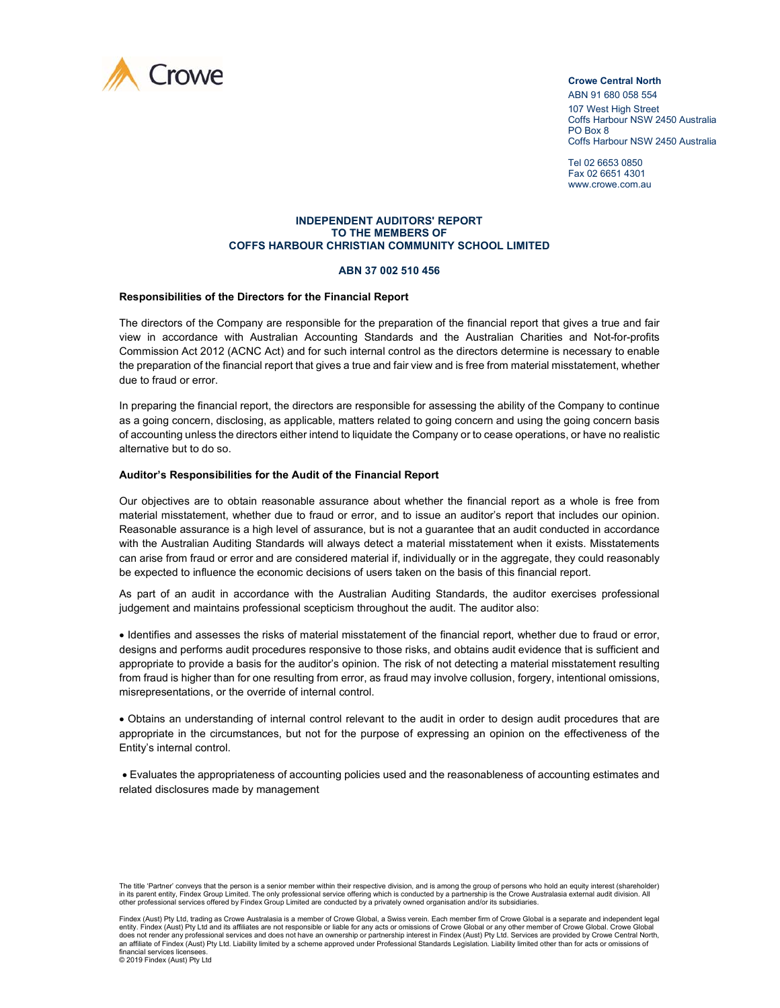

ABN 91 680 058 554 107 West High Street Coffs Harbour NSW 2450 Australia PO Box 8 Coffs Harbour NSW 2450 Australia

Tel 02 6653 0850 Fax 02 6651 4301 www.crowe.com.au

#### **INDEPENDENT AUDITORS' REPORT TO THE MEMBERS OF COFFS HARBOUR CHRISTIAN COMMUNITY SCHOOL LIMITED**

#### **ABN 37 002 510 456**

### **Responsibilities of the Directors for the Financial Report**

The directors of the Company are responsible for the preparation of the financial report that gives a true and fair view in accordance with Australian Accounting Standards and the Australian Charities and Not-for-profits Commission Act 2012 (ACNC Act) and for such internal control as the directors determine is necessary to enable the preparation of the financial report that gives a true and fair view and is free from material misstatement, whether due to fraud or error.

In preparing the financial report, the directors are responsible for assessing the ability of the Company to continue as a going concern, disclosing, as applicable, matters related to going concern and using the going concern basis of accounting unless the directors either intend to liquidate the Company or to cease operations, or have no realistic alternative but to do so.

### **Auditor's Responsibilities for the Audit of the Financial Report**

Our objectives are to obtain reasonable assurance about whether the financial report as a whole is free from material misstatement, whether due to fraud or error, and to issue an auditor's report that includes our opinion. Reasonable assurance is a high level of assurance, but is not a guarantee that an audit conducted in accordance with the Australian Auditing Standards will always detect a material misstatement when it exists. Misstatements can arise from fraud or error and are considered material if, individually or in the aggregate, they could reasonably be expected to influence the economic decisions of users taken on the basis of this financial report.

As part of an audit in accordance with the Australian Auditing Standards, the auditor exercises professional judgement and maintains professional scepticism throughout the audit. The auditor also:

• Identifies and assesses the risks of material misstatement of the financial report, whether due to fraud or error, designs and performs audit procedures responsive to those risks, and obtains audit evidence that is sufficient and appropriate to provide a basis for the auditor's opinion. The risk of not detecting a material misstatement resulting from fraud is higher than for one resulting from error, as fraud may involve collusion, forgery, intentional omissions, misrepresentations, or the override of internal control.

• Obtains an understanding of internal control relevant to the audit in order to design audit procedures that are appropriate in the circumstances, but not for the purpose of expressing an opinion on the effectiveness of the Entity's internal control.

• Evaluates the appropriateness of accounting policies used and the reasonableness of accounting estimates and related disclosures made by management

The title 'Partner' conveys that the person is a senior member within their respective division, and is among the group of persons who hold an equity interest (shareholder)<br>in its parent entity, Findex Group Limited. The o other professional services offered by Findex Group Limited are conducted by a privately owned organisation and/or its subsidiaries.

Findex (Aust) Pty Ltd, trading as Crowe Australasia is a member of Crowe Global, a Swiss verein. Each member firm of Crowe Global is a separate and independent legal r maso, the set in the state of the set in the sponsible or liable for any acts or omissions of Crowe Global or any other member of Crowe Global. Crowe Global or any other member of Crowe Global. Crowe Global or any other does not render any professional services and does not have an ownership or partnership interest in Findex (Aust) Pty Ltd. Services are provided by Crowe Central North,<br>an affiliate of Findex (Aust) Pty Ltd. Liability limi financial services license